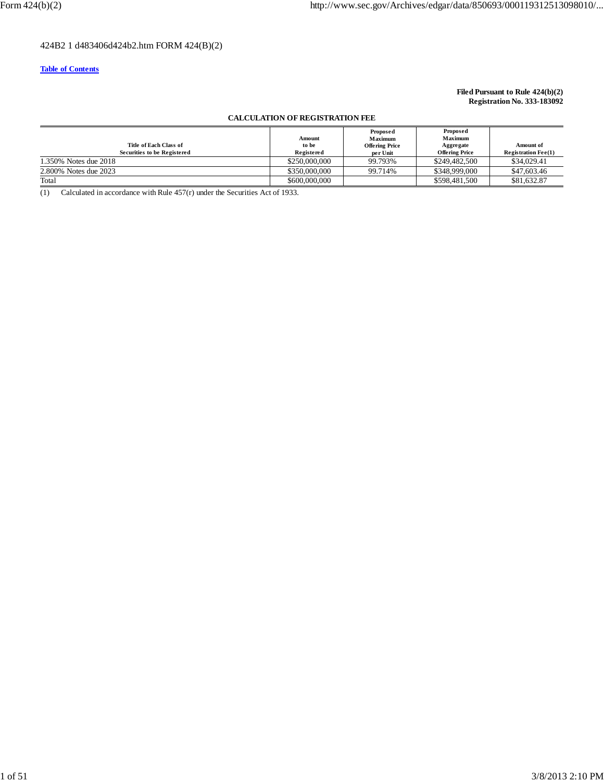### 424B2 1 d483406d424b2.htm FORM 424(B)(2)

### **Table of Contents**

### **Filed Pursuant to Rule 424(b)(2) Registration No. 333-183092**

### **CALCULATION OF REGISTRATION FEE**

| Title of Each Class of<br>Securities to be Registered | Amount<br>to be<br>Registered | Proposed<br><b>Maximum</b><br><b>Offering Price</b><br>per Unit | Proposed<br>Maximum<br>Aggregate<br><b>Offering Price</b> | <b>Amount of</b><br><b>Registration Fee<math>(1)</math></b> |
|-------------------------------------------------------|-------------------------------|-----------------------------------------------------------------|-----------------------------------------------------------|-------------------------------------------------------------|
| 1.350\% Notes due 2018                                | \$250,000,000                 | 99.793%                                                         | \$249,482,500                                             | \$34,029.41                                                 |
| 2.800% Notes due 2023                                 | \$350,000,000                 | 99.714%                                                         | \$348,999,000                                             | \$47,603.46                                                 |
| Total                                                 | \$600,000,000                 |                                                                 | \$598,481,500                                             | \$81,632.87                                                 |

(1) Calculated in accordance with Rule  $457(r)$  under the Securities Act of 1933.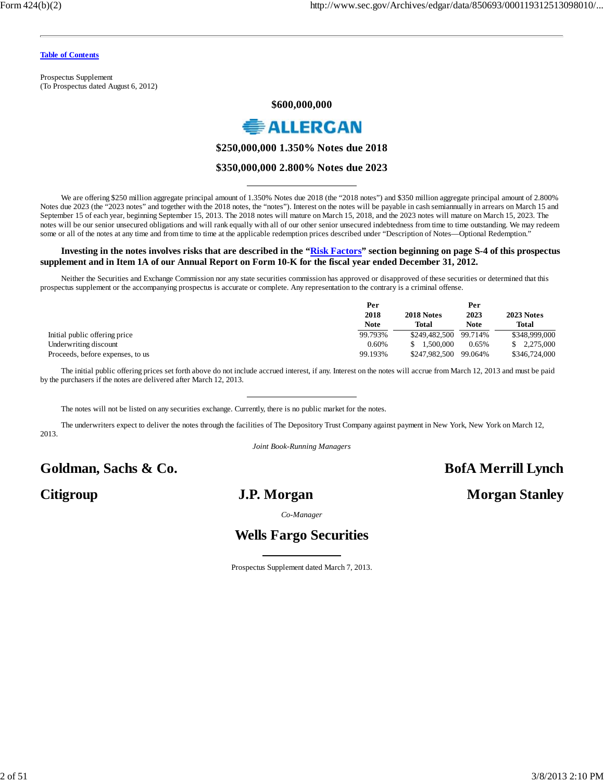Prospectus Supplement (To Prospectus dated August 6, 2012)

### **\$600,000,000**



**\$250,000,000 1.350% Notes due 2018**

### **\$350,000,000 2.800% Notes due 2023**

We are offering \$250 million aggregate principal amount of 1.350% Notes due 2018 (the "2018 notes") and \$350 million aggregate principal amount of 2.800% Notes due 2023 (the "2023 notes" and together with the 2018 notes, the "notes"). Interest on the notes will be payable in cash semiannually in arrears on March 15 and September 15 of each year, beginning September 15, 2013. The 2018 notes will mature on March 15, 2018, and the 2023 notes will mature on March 15, 2023. The notes will be our senior unsecured obligations and will rank equally with all of our other senior unsecured indebtedness from time to time outstanding. We may redeem some or all of the notes at any time and from time to time at the applicable redemption prices described under "Description of Notes—Optional Redemption."

### **Investing in the notes involves risks that are described in the "Risk Factors" section beginning on page S-4 of this prospectus supplement and in Item 1A of our Annual Report on Form 10-K for the fiscal year ended December 31, 2012.**

Neither the Securities and Exchange Commission nor any state securities commission has approved or disapproved of these securities or determined that this prospectus supplement or the accompanying prospectus is accurate or complete. Any representation to the contrary is a criminal offense.

|                                  | Per         |               | Per         |               |
|----------------------------------|-------------|---------------|-------------|---------------|
|                                  | 2018        | 2018 Notes    | 2023        | 2023 Notes    |
|                                  | <b>Note</b> | <b>Total</b>  | <b>Note</b> | <b>Total</b>  |
| Initial public offering price    | 99.793%     | \$249.482.500 | 99.714%     | \$348,999,000 |
| Underwriting discount            | 0.60%       | 1.500.000     | 0.65%       | 2.275,000     |
| Proceeds, before expenses, to us | 99.193%     | \$247.982.500 | 99.064%     | \$346,724,000 |

The initial public offering prices set forth above do not include accrued interest, if any. Interest on the notes will accrue from March 12, 2013 and must be paid by the purchasers if the notes are delivered after March 12, 2013.

The notes will not be listed on any securities exchange. Currently, there is no public market for the notes.

The underwriters expect to deliver the notes through the facilities of The Depository Trust Company against payment in New York, New York on March 12, 2013.

*Joint Book-Running Managers*

# **Goldman, Sachs & Co. BofA Merrill Lynch**

# **Citigroup J.P. Morgan Morgan Stanley**

*Co-Manager*

# **Wells Fargo Securities**

Prospectus Supplement dated March 7, 2013.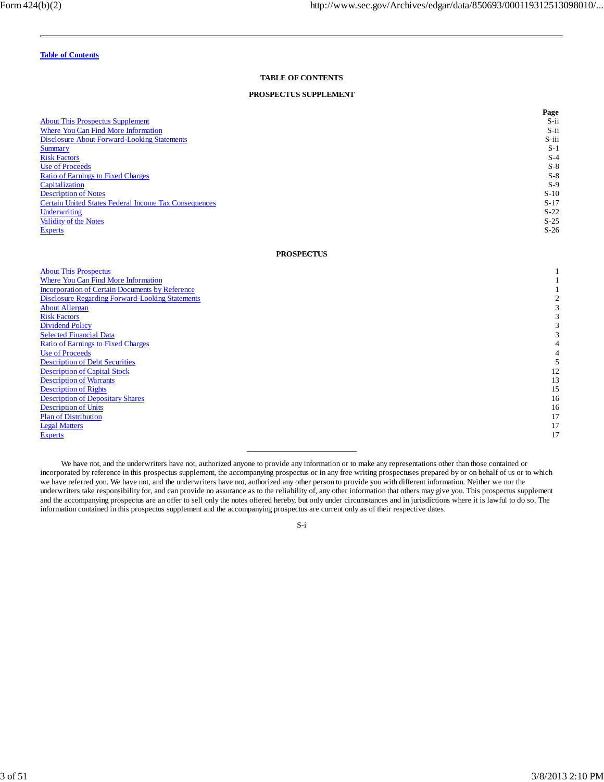#### **TABLE OF CONTENTS**

### **PROSPECTUS SUPPLEMENT**

|                                                              | Page    |
|--------------------------------------------------------------|---------|
| <b>About This Prospectus Supplement</b>                      | $S$ -ii |
| Where You Can Find More Information                          | S-ii    |
| <b>Disclosure About Forward-Looking Statements</b>           | S-iii   |
| <b>Summary</b>                                               | $S-1$   |
| <b>Risk Factors</b>                                          | $S-4$   |
| Use of Proceeds                                              | $S-8$   |
| Ratio of Earnings to Fixed Charges                           | $S-8$   |
| Capitalization                                               | $S-9$   |
| <b>Description of Notes</b>                                  | $S-10$  |
| <b>Certain United States Federal Income Tax Consequences</b> | $S-17$  |
| Underwriting                                                 | $S-22$  |
| Validity of the Notes                                        | $S-25$  |
| <b>Experts</b>                                               | $S-26$  |

### **PROSPECTUS**

| <b>About This Prospectus</b>                           |    |
|--------------------------------------------------------|----|
| <b>Where You Can Find More Information</b>             |    |
| <b>Incorporation of Certain Documents by Reference</b> |    |
| <b>Disclosure Regarding Forward-Looking Statements</b> |    |
| <b>About Allergan</b>                                  |    |
| <b>Risk Factors</b>                                    |    |
| <b>Dividend Policy</b>                                 |    |
| <b>Selected Financial Data</b>                         |    |
| <b>Ratio of Earnings to Fixed Charges</b>              |    |
| <b>Use of Proceeds</b>                                 |    |
| <b>Description of Debt Securities</b>                  |    |
| <b>Description of Capital Stock</b>                    | 12 |
| <b>Description of Warrants</b>                         | 13 |
| <b>Description of Rights</b>                           | 15 |
| <b>Description of Depositary Shares</b>                | 16 |
| <b>Description of Units</b>                            | 16 |
| <b>Plan of Distribution</b>                            | 17 |
| <b>Legal Matters</b>                                   | 17 |
| <b>Experts</b>                                         | 17 |
|                                                        |    |

We have not, and the underwriters have not, authorized anyone to provide any information or to make any representations other than those contained or incorporated by reference in this prospectus supplement, the accompanying prospectus or in any free writing prospectuses prepared by or on behalf of us or to which we have referred you. We have not, and the underwriters have not, authorized any other person to provide you with different information. Neither we nor the underwriters take responsibility for, and can provide no assurance as to the reliability of, any other information that others may give you. This prospectus supplement and the accompanying prospectus are an offer to sell only the notes offered hereby, but only under circumstances and in jurisdictions where it is lawful to do so. The information contained in this prospectus supplement and the accompanying prospectus are current only as of their respective dates.

S-i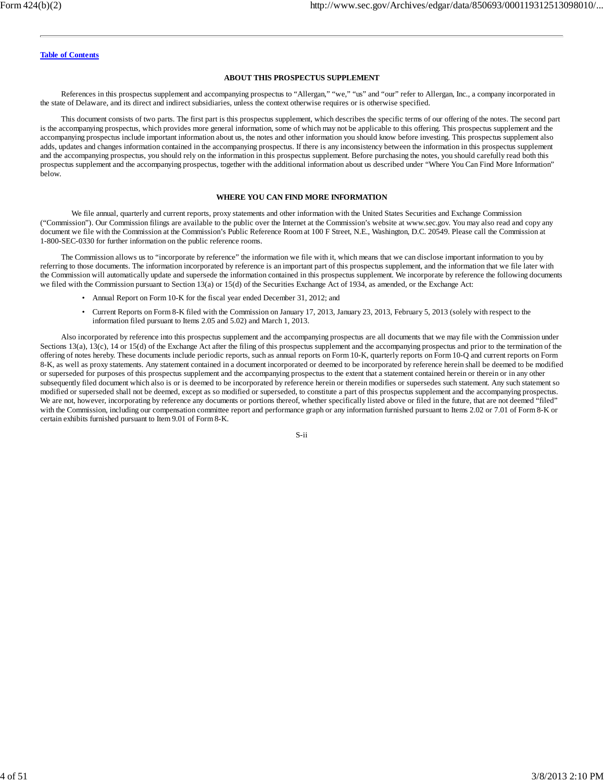#### **ABOUT THIS PROSPECTUS SUPPLEMENT**

References in this prospectus supplement and accompanying prospectus to "Allergan," "we," "us" and "our" refer to Allergan, Inc., a company incorporated in the state of Delaware, and its direct and indirect subsidiaries, unless the context otherwise requires or is otherwise specified.

This document consists of two parts. The first part is this prospectus supplement, which describes the specific terms of our offering of the notes. The second part is the accompanying prospectus, which provides more general information, some of which may not be applicable to this offering. This prospectus supplement and the accompanying prospectus include important information about us, the notes and other information you should know before investing. This prospectus supplement also adds, updates and changes information contained in the accompanying prospectus. If there is any inconsistency between the information in this prospectus supplement and the accompanying prospectus, you should rely on the information in this prospectus supplement. Before purchasing the notes, you should carefully read both this prospectus supplement and the accompanying prospectus, together with the additional information about us described under "Where You Can Find More Information" below.

#### **WHERE YOU CAN FIND MORE INFORMATION**

We file annual, quarterly and current reports, proxy statements and other information with the United States Securities and Exchange Commission ("Commission"). Our Commission filings are available to the public over the Internet at the Commission's website at www.sec.gov. You may also read and copy any document we file with the Commission at the Commission's Public Reference Room at 100 F Street, N.E., Washington, D.C. 20549. Please call the Commission at 1-800-SEC-0330 for further information on the public reference rooms.

The Commission allows us to "incorporate by reference" the information we file with it, which means that we can disclose important information to you by referring to those documents. The information incorporated by reference is an important part of this prospectus supplement, and the information that we file later with the Commission will automatically update and supersede the information contained in this prospectus supplement. We incorporate by reference the following documents we filed with the Commission pursuant to Section 13(a) or 15(d) of the Securities Exchange Act of 1934, as amended, or the Exchange Act:

- Annual Report on Form 10-K for the fiscal year ended December 31, 2012; and
- Current Reports on Form 8-K filed with the Commission on January 17, 2013, January 23, 2013, February 5, 2013 (solely with respect to the information filed pursuant to Items 2.05 and 5.02) and March 1, 2013.

Also incorporated by reference into this prospectus supplement and the accompanying prospectus are all documents that we may file with the Commission under Sections 13(a), 13(c), 14 or 15(d) of the Exchange Act after the filing of this prospectus supplement and the accompanying prospectus and prior to the termination of the offering of notes hereby. These documents include periodic reports, such as annual reports on Form 10-K, quarterly reports on Form 10-Q and current reports on Form 8-K, as well as proxy statements. Any statement contained in a document incorporated or deemed to be incorporated by reference herein shall be deemed to be modified or superseded for purposes of this prospectus supplement and the accompanying prospectus to the extent that a statement contained herein or therein or in any other subsequently filed document which also is or is deemed to be incorporated by reference herein or therein modifies or supersedes such statement. Any such statement so modified or superseded shall not be deemed, except as so modified or superseded, to constitute a part of this prospectus supplement and the accompanying prospectus. We are not, however, incorporating by reference any documents or portions thereof, whether specifically listed above or filed in the future, that are not deemed "filed" with the Commission, including our compensation committee report and performance graph or any information furnished pursuant to Items 2.02 or 7.01 of Form 8-K or certain exhibits furnished pursuant to Item 9.01 of Form 8-K.

S-ii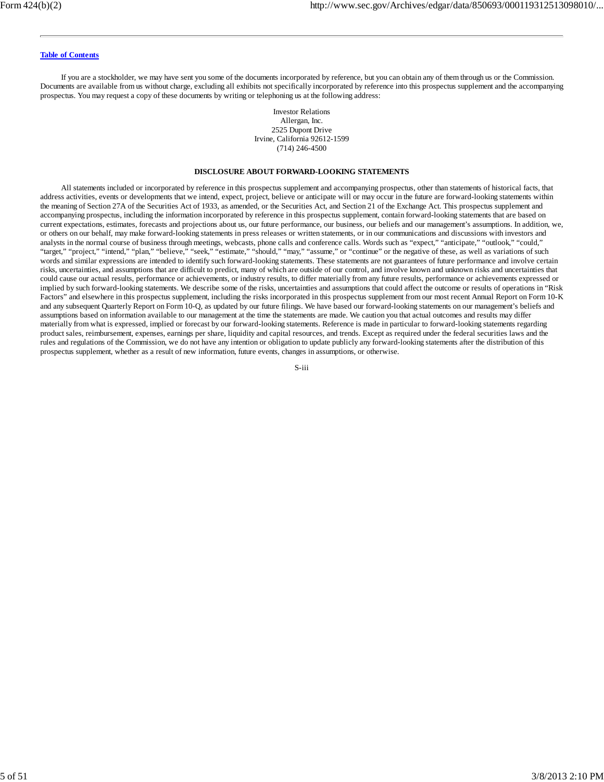If you are a stockholder, we may have sent you some of the documents incorporated by reference, but you can obtain any of them through us or the Commission. Documents are available from us without charge, excluding all exhibits not specifically incorporated by reference into this prospectus supplement and the accompanying prospectus. You may request a copy of these documents by writing or telephoning us at the following address:

> Investor Relations Allergan, Inc. 2525 Dupont Drive Irvine, California 92612-1599 (714) 246-4500

#### **DISCLOSURE ABOUT FORWARD-LOOKING STATEMENTS**

All statements included or incorporated by reference in this prospectus supplement and accompanying prospectus, other than statements of historical facts, that address activities, events or developments that we intend, expect, project, believe or anticipate will or may occur in the future are forward-looking statements within the meaning of Section 27A of the Securities Act of 1933, as amended, or the Securities Act, and Section 21 of the Exchange Act. This prospectus supplement and accompanying prospectus, including the information incorporated by reference in this prospectus supplement, contain forward-looking statements that are based on current expectations, estimates, forecasts and projections about us, our future performance, our business, our beliefs and our management's assumptions. In addition, we, or others on our behalf, may make forward-looking statements in press releases or written statements, or in our communications and discussions with investors and analysts in the normal course of business through meetings, webcasts, phone calls and conference calls. Words such as "expect," "anticipate," "outlook," "could," "target," "project," "intend," "plan," "believe," "seek," "estimate," "should," "may," "assume," or "continue" or the negative of these, as well as variations of such words and similar expressions are intended to identify such forward-looking statements. These statements are not guarantees of future performance and involve certain risks, uncertainties, and assumptions that are difficult to predict, many of which are outside of our control, and involve known and unknown risks and uncertainties that could cause our actual results, performance or achievements, or industry results, to differ materially from any future results, performance or achievements expressed or implied by such forward-looking statements. We describe some of the risks, uncertainties and assumptions that could affect the outcome or results of operations in "Risk Factors" and elsewhere in this prospectus supplement, including the risks incorporated in this prospectus supplement from our most recent Annual Report on Form 10-K and any subsequent Quarterly Report on Form 10-Q, as updated by our future filings. We have based our forward-looking statements on our management's beliefs and assumptions based on information available to our management at the time the statements are made. We caution you that actual outcomes and results may differ materially from what is expressed, implied or forecast by our forward-looking statements. Reference is made in particular to forward-looking statements regarding product sales, reimbursement, expenses, earnings per share, liquidity and capital resources, and trends. Except as required under the federal securities laws and the rules and regulations of the Commission, we do not have any intention or obligation to update publicly any forward-looking statements after the distribution of this prospectus supplement, whether as a result of new information, future events, changes in assumptions, or otherwise.

S-iii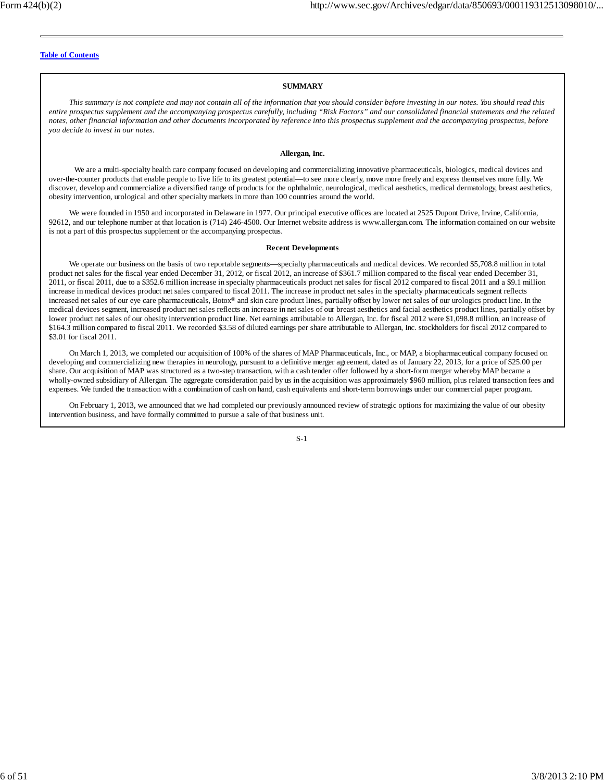#### **SUMMARY**

*This summary is not complete and may not contain all of the information that you should consider before investing in our notes. You should read this entire prospectus supplement and the accompanying prospectus carefully, including "Risk Factors" and our consolidated financial statements and the related notes, other financial information and other documents incorporated by reference into this prospectus supplement and the accompanying prospectus, before you decide to invest in our notes.*

### **Allergan, Inc.**

We are a multi-specialty health care company focused on developing and commercializing innovative pharmaceuticals, biologics, medical devices and over-the-counter products that enable people to live life to its greatest potential—to see more clearly, move more freely and express themselves more fully. We discover, develop and commercialize a diversified range of products for the ophthalmic, neurological, medical aesthetics, medical dermatology, breast aesthetics, obesity intervention, urological and other specialty markets in more than 100 countries around the world.

We were founded in 1950 and incorporated in Delaware in 1977. Our principal executive offices are located at 2525 Dupont Drive, Irvine, California, 92612, and our telephone number at that location is (714) 246-4500. Our Internet website address is www.allergan.com. The information contained on our website is not a part of this prospectus supplement or the accompanying prospectus.

#### **Recent Developments**

We operate our business on the basis of two reportable segments—specialty pharmaceuticals and medical devices. We recorded \$5,708.8 million in total product net sales for the fiscal year ended December 31, 2012, or fiscal 2012, an increase of \$361.7 million compared to the fiscal year ended December 31, 2011, or fiscal 2011, due to a \$352.6 million increase in specialty pharmaceuticals product net sales for fiscal 2012 compared to fiscal 2011 and a \$9.1 million increase in medical devices product net sales compared to fiscal 2011. The increase in product net sales in the specialty pharmaceuticals segment reflects increased net sales of our eye care pharmaceuticals,  $Botox^@$  and skin care product lines, partially offset by lower net sales of our urologics product line. In the medical devices segment, increased product net sales reflects an increase in net sales of our breast aesthetics and facial aesthetics product lines, partially offset by lower product net sales of our obesity intervention product line. Net earnings attributable to Allergan, Inc. for fiscal 2012 were \$1,098.8 million, an increase of \$164.3 million compared to fiscal 2011. We recorded \$3.58 of diluted earnings per share attributable to Allergan, Inc. stockholders for fiscal 2012 compared to \$3.01 for fiscal 2011.

On March 1, 2013, we completed our acquisition of 100% of the shares of MAP Pharmaceuticals, Inc., or MAP, a biopharmaceutical company focused on developing and commercializing new therapies in neurology, pursuant to a definitive merger agreement, dated as of January 22, 2013, for a price of \$25.00 per share. Our acquisition of MAP was structured as a two-step transaction, with a cash tender offer followed by a short-form merger whereby MAP became a wholly-owned subsidiary of Allergan. The aggregate consideration paid by us in the acquisition was approximately \$960 million, plus related transaction fees and expenses. We funded the transaction with a combination of cash on hand, cash equivalents and short-term borrowings under our commercial paper program.

On February 1, 2013, we announced that we had completed our previously announced review of strategic options for maximizing the value of our obesity intervention business, and have formally committed to pursue a sale of that business unit.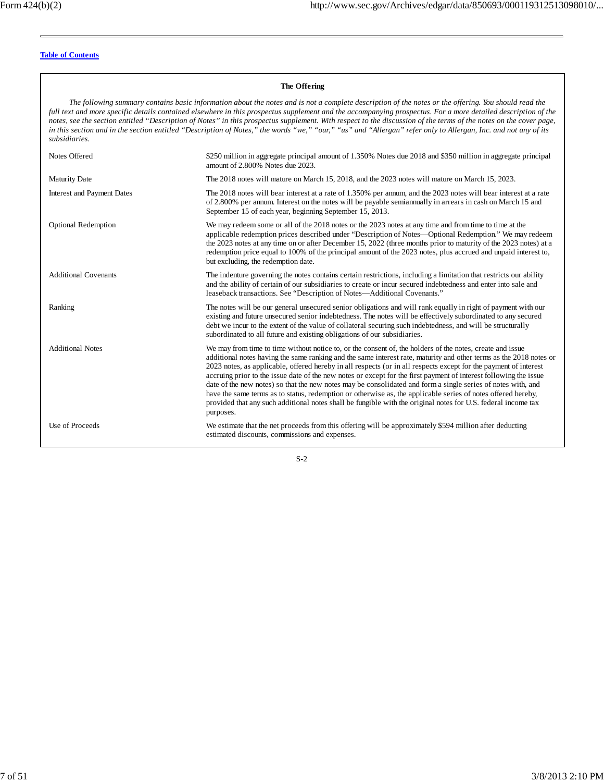#### **The Offering** *The following summary contains basic information about the notes and is not a complete description of the notes or the offering. You should read the full text and more specific details contained elsewhere in this prospectus supplement and the accompanying prospectus. For a more detailed description of the notes, see the section entitled "Description of Notes" in this prospectus supplement. With respect to the discussion of the terms of the notes on the cover page, in this section and in the section entitled "Description of Notes," the words "we," "our," "us" and "Allergan" refer only to Allergan, Inc. and not any of its subsidiaries.* Notes Offered \$250 million in aggregate principal amount of 1.350% Notes due 2018 and \$350 million in aggregate principal amount of 2.800% Notes due 2023. Maturity Date The 2018 notes will mature on March 15, 2018, and the 2023 notes will mature on March 15, 2023. Interest and Payment Dates The 2018 notes will bear interest at a rate of 1.350% per annum, and the 2023 notes will bear interest at a rate of 2.800% per annum. Interest on the notes will be payable semiannually in arrears in cash on March 15 and September 15 of each year, beginning September 15, 2013. Optional Redemption We may redeem some or all of the 2018 notes or the 2023 notes at any time and from time to time at the applicable redemption prices described under "Description of Notes—Optional Redemption." We may redeem the 2023 notes at any time on or after December 15, 2022 (three months prior to maturity of the 2023 notes) at a redemption price equal to 100% of the principal amount of the 2023 notes, plus accrued and unpaid interest to, but excluding, the redemption date. Additional Covenants The indenture governing the notes contains certain restrictions, including a limitation that restricts our ability and the ability of certain of our subsidiaries to create or incur secured indebtedness and enter into sale and leaseback transactions. See "Description of Notes—Additional Covenants." Ranking The notes will be our general unsecured senior obligations and will rank equally in right of payment with our existing and future unsecured senior indebtedness. The notes will be effectively subordinated to any secured debt we incur to the extent of the value of collateral securing such indebtedness, and will be structurally subordinated to all future and existing obligations of our subsidiaries. Additional Notes We may from time to time without notice to, or the consent of, the holders of the notes, create and issue additional notes having the same ranking and the same interest rate, maturity and other terms as the 2018 notes or 2023 notes, as applicable, offered hereby in all respects (or in all respects except for the payment of interest accruing prior to the issue date of the new notes or except for the first payment of interest following the issue date of the new notes) so that the new notes may be consolidated and form a single series of notes with, and have the same terms as to status, redemption or otherwise as, the applicable series of notes offered hereby, provided that any such additional notes shall be fungible with the original notes for U.S. federal income tax purposes. Use of Proceeds We estimate that the net proceeds from this offering will be approximately \$594 million after deducting estimated discounts, commissions and expenses.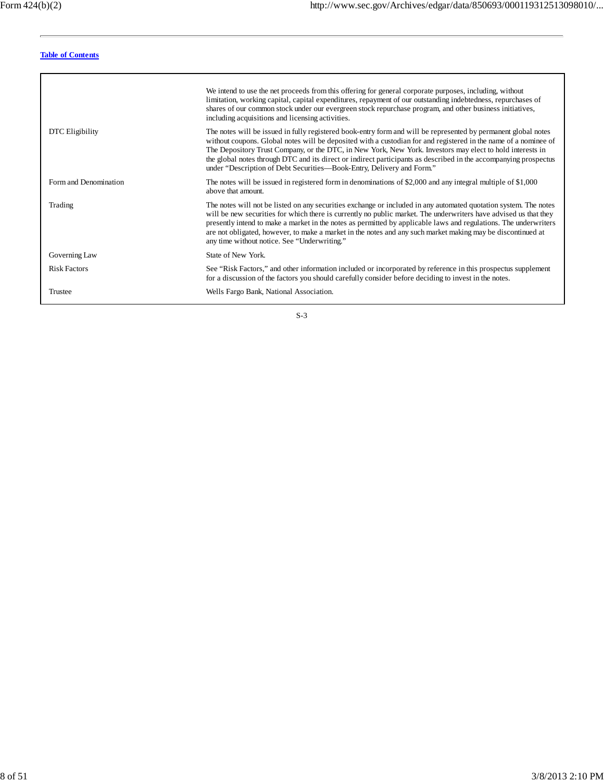|                       | We intend to use the net proceeds from this offering for general corporate purposes, including, without<br>limitation, working capital, capital expenditures, repayment of our outstanding indebtedness, repurchases of<br>shares of our common stock under our evergreen stock repurchase program, and other business initiatives,<br>including acquisitions and licensing activities.                                                                                                                                                     |
|-----------------------|---------------------------------------------------------------------------------------------------------------------------------------------------------------------------------------------------------------------------------------------------------------------------------------------------------------------------------------------------------------------------------------------------------------------------------------------------------------------------------------------------------------------------------------------|
| DTC Eligibility       | The notes will be issued in fully registered book-entry form and will be represented by permanent global notes<br>without coupons. Global notes will be deposited with a custodian for and registered in the name of a nominee of<br>The Depository Trust Company, or the DTC, in New York, New York. Investors may elect to hold interests in<br>the global notes through DTC and its direct or indirect participants as described in the accompanying prospectus<br>under "Description of Debt Securities—Book-Entry, Delivery and Form." |
| Form and Denomination | The notes will be issued in registered form in denominations of \$2,000 and any integral multiple of \$1,000<br>above that amount.                                                                                                                                                                                                                                                                                                                                                                                                          |
| Trading               | The notes will not be listed on any securities exchange or included in any automated quotation system. The notes<br>will be new securities for which there is currently no public market. The underwriters have advised us that they<br>presently intend to make a market in the notes as permitted by applicable laws and regulations. The underwriters<br>are not obligated, however, to make a market in the notes and any such market making may be discontinued at<br>any time without notice. See "Underwriting."                     |
| Governing Law         | State of New York.                                                                                                                                                                                                                                                                                                                                                                                                                                                                                                                          |
| <b>Risk Factors</b>   | See "Risk Factors," and other information included or incorporated by reference in this prospectus supplement<br>for a discussion of the factors you should carefully consider before deciding to invest in the notes.                                                                                                                                                                                                                                                                                                                      |
| Trustee               | Wells Fargo Bank, National Association.                                                                                                                                                                                                                                                                                                                                                                                                                                                                                                     |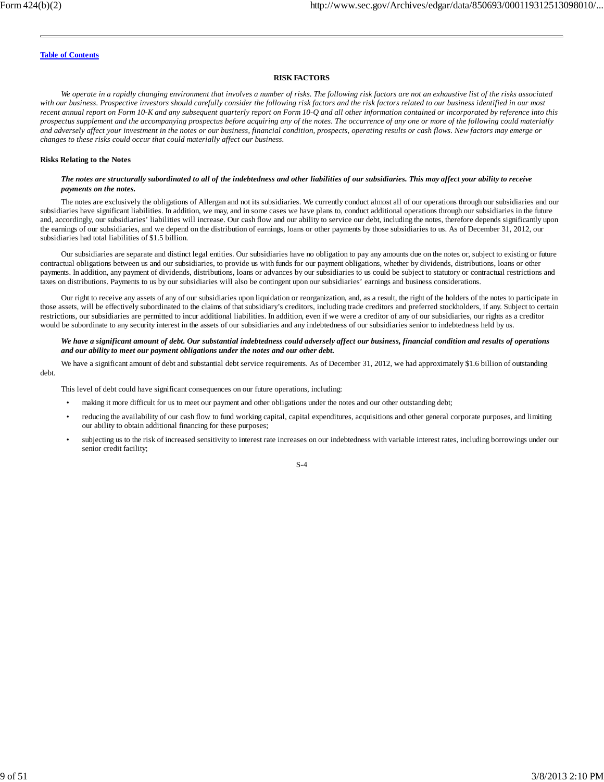#### **RISK FACTORS**

*We operate in a rapidly changing environment that involves a number of risks. The following risk factors are not an exhaustive list of the risks associated with our business. Prospective investors should carefully consider the following risk factors and the risk factors related to our business identified in our most recent annual report on Form 10-K and any subsequent quarterly report on Form 10-Q and all other information contained or incorporated by reference into this prospectus supplement and the accompanying prospectus before acquiring any of the notes. The occurrence of any one or more of the following could materially and adversely affect your investment in the notes or our business, financial condition, prospects, operating results or cash flows. New factors may emerge or changes to these risks could occur that could materially affect our business.*

#### **Risks Relating to the Notes**

#### *The notes are structurally subordinated to all of the indebtedness and other liabilities of our subsidiaries. This may affect your ability to receive payments on the notes.*

The notes are exclusively the obligations of Allergan and not its subsidiaries. We currently conduct almost all of our operations through our subsidiaries and our subsidiaries have significant liabilities. In addition, we may, and in some cases we have plans to, conduct additional operations through our subsidiaries in the future and, accordingly, our subsidiaries' liabilities will increase. Our cash flow and our ability to service our debt, including the notes, therefore depends significantly upon the earnings of our subsidiaries, and we depend on the distribution of earnings, loans or other payments by those subsidiaries to us. As of December 31, 2012, our subsidiaries had total liabilities of \$1.5 billion.

Our subsidiaries are separate and distinct legal entities. Our subsidiaries have no obligation to pay any amounts due on the notes or, subject to existing or future contractual obligations between us and our subsidiaries, to provide us with funds for our payment obligations, whether by dividends, distributions, loans or other payments. In addition, any payment of dividends, distributions, loans or advances by our subsidiaries to us could be subject to statutory or contractual restrictions and taxes on distributions. Payments to us by our subsidiaries will also be contingent upon our subsidiaries' earnings and business considerations.

Our right to receive any assets of any of our subsidiaries upon liquidation or reorganization, and, as a result, the right of the holders of the notes to participate in those assets, will be effectively subordinated to the claims of that subsidiary's creditors, including trade creditors and preferred stockholders, if any. Subject to certain restrictions, our subsidiaries are permitted to incur additional liabilities. In addition, even if we were a creditor of any of our subsidiaries, our rights as a creditor would be subordinate to any security interest in the assets of our subsidiaries and any indebtedness of our subsidiaries senior to indebtedness held by us.

*We have a significant amount of debt. Our substantial indebtedness could adversely affect our business, financial condition and results of operations and our ability to meet our payment obligations under the notes and our other debt.*

We have a significant amount of debt and substantial debt service requirements. As of December 31, 2012, we had approximately \$1.6 billion of outstanding debt.

This level of debt could have significant consequences on our future operations, including:

- making it more difficult for us to meet our payment and other obligations under the notes and our other outstanding debt;
- reducing the availability of our cash flow to fund working capital, capital expenditures, acquisitions and other general corporate purposes, and limiting our ability to obtain additional financing for these purposes;
- subjecting us to the risk of increased sensitivity to interest rate increases on our indebtedness with variable interest rates, including borrowings under our senior credit facility;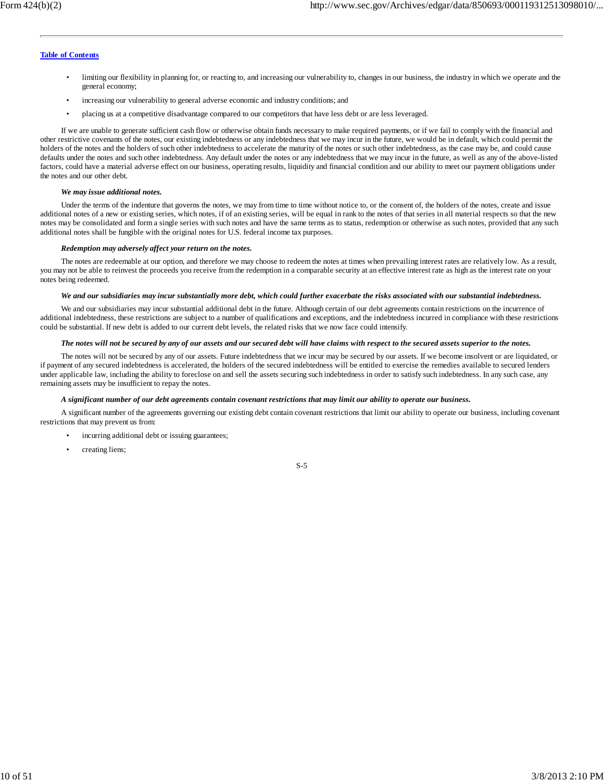- limiting our flexibility in planning for, or reacting to, and increasing our vulnerability to, changes in our business, the industry in which we operate and the general economy;
- increasing our vulnerability to general adverse economic and industry conditions; and
- placing us at a competitive disadvantage compared to our competitors that have less debt or are less leveraged.

If we are unable to generate sufficient cash flow or otherwise obtain funds necessary to make required payments, or if we fail to comply with the financial and other restrictive covenants of the notes, our existing indebtedness or any indebtedness that we may incur in the future, we would be in default, which could permit the holders of the notes and the holders of such other indebtedness to accelerate the maturity of the notes or such other indebtedness, as the case may be, and could cause defaults under the notes and such other indebtedness. Any default under the notes or any indebtedness that we may incur in the future, as well as any of the above-listed factors, could have a material adverse effect on our business, operating results, liquidity and financial condition and our ability to meet our payment obligations under the notes and our other debt.

#### *We may issue additional notes.*

Under the terms of the indenture that governs the notes, we may from time to time without notice to, or the consent of, the holders of the notes, create and issue additional notes of a new or existing series, which notes, if of an existing series, will be equal in rank to the notes of that series in all material respects so that the new notes may be consolidated and form a single series with such notes and have the same terms as to status, redemption or otherwise as such notes, provided that any such additional notes shall be fungible with the original notes for U.S. federal income tax purposes.

#### *Redemption may adversely affect your return on the notes.*

The notes are redeemable at our option, and therefore we may choose to redeem the notes at times when prevailing interest rates are relatively low. As a result, you may not be able to reinvest the proceeds you receive from the redemption in a comparable security at an effective interest rate as high as the interest rate on your notes being redeemed.

#### *We and our subsidiaries may incur substantially more debt, which could further exacerbate the risks associated with our substantial indebtedness.*

We and our subsidiaries may incur substantial additional debt in the future. Although certain of our debt agreements contain restrictions on the incurrence of additional indebtedness, these restrictions are subject to a number of qualifications and exceptions, and the indebtedness incurred in compliance with these restrictions could be substantial. If new debt is added to our current debt levels, the related risks that we now face could intensify.

#### *The notes will not be secured by any of our assets and our secured debt will have claims with respect to the secured assets superior to the notes.*

The notes will not be secured by any of our assets. Future indebtedness that we incur may be secured by our assets. If we become insolvent or are liquidated, or if payment of any secured indebtedness is accelerated, the holders of the secured indebtedness will be entitled to exercise the remedies available to secured lenders under applicable law, including the ability to foreclose on and sell the assets securing such indebtedness in order to satisfy such indebtedness. In any such case, any remaining assets may be insufficient to repay the notes.

#### *A significant number of our debt agreements contain covenant restrictions that may limit our ability to operate our business.*

A significant number of the agreements governing our existing debt contain covenant restrictions that limit our ability to operate our business, including covenant restrictions that may prevent us from:

- incurring additional debt or issuing guarantees;
- creating liens;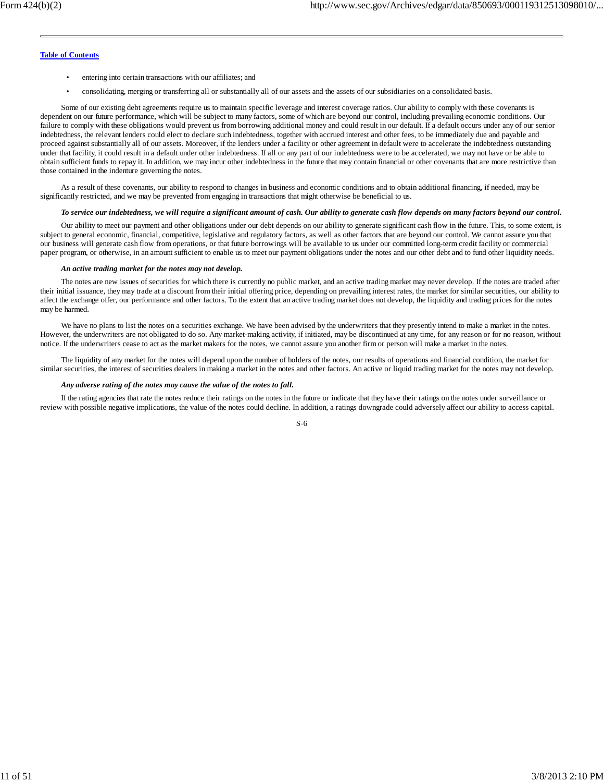- entering into certain transactions with our affiliates; and
- consolidating, merging or transferring all or substantially all of our assets and the assets of our subsidiaries on a consolidated basis.

Some of our existing debt agreements require us to maintain specific leverage and interest coverage ratios. Our ability to comply with these covenants is dependent on our future performance, which will be subject to many factors, some of which are beyond our control, including prevailing economic conditions. Our failure to comply with these obligations would prevent us from borrowing additional money and could result in our default. If a default occurs under any of our senior indebtedness, the relevant lenders could elect to declare such indebtedness, together with accrued interest and other fees, to be immediately due and payable and proceed against substantially all of our assets. Moreover, if the lenders under a facility or other agreement in default were to accelerate the indebtedness outstanding under that facility, it could result in a default under other indebtedness. If all or any part of our indebtedness were to be accelerated, we may not have or be able to obtain sufficient funds to repay it. In addition, we may incur other indebtedness in the future that may contain financial or other covenants that are more restrictive than those contained in the indenture governing the notes.

As a result of these covenants, our ability to respond to changes in business and economic conditions and to obtain additional financing, if needed, may be significantly restricted, and we may be prevented from engaging in transactions that might otherwise be beneficial to us.

#### *To service our indebtedness, we will require a significant amount of cash. Our ability to generate cash flow depends on many factors beyond our control.*

Our ability to meet our payment and other obligations under our debt depends on our ability to generate significant cash flow in the future. This, to some extent, is subject to general economic, financial, competitive, legislative and regulatory factors, as well as other factors that are beyond our control. We cannot assure you that our business will generate cash flow from operations, or that future borrowings will be available to us under our committed long-term credit facility or commercial paper program, or otherwise, in an amount sufficient to enable us to meet our payment obligations under the notes and our other debt and to fund other liquidity needs.

#### *An active trading market for the notes may not develop.*

The notes are new issues of securities for which there is currently no public market, and an active trading market may never develop. If the notes are traded after their initial issuance, they may trade at a discount from their initial offering price, depending on prevailing interest rates, the market for similar securities, our ability to affect the exchange offer, our performance and other factors. To the extent that an active trading market does not develop, the liquidity and trading prices for the notes may be harmed.

We have no plans to list the notes on a securities exchange. We have been advised by the underwriters that they presently intend to make a market in the notes. However, the underwriters are not obligated to do so. Any market-making activity, if initiated, may be discontinued at any time, for any reason or for no reason, without notice. If the underwriters cease to act as the market makers for the notes, we cannot assure you another firm or person will make a market in the notes.

The liquidity of any market for the notes will depend upon the number of holders of the notes, our results of operations and financial condition, the market for similar securities, the interest of securities dealers in making a market in the notes and other factors. An active or liquid trading market for the notes may not develop.

#### *Any adverse rating of the notes may cause the value of the notes to fall.*

If the rating agencies that rate the notes reduce their ratings on the notes in the future or indicate that they have their ratings on the notes under surveillance or review with possible negative implications, the value of the notes could decline. In addition, a ratings downgrade could adversely affect our ability to access capital.

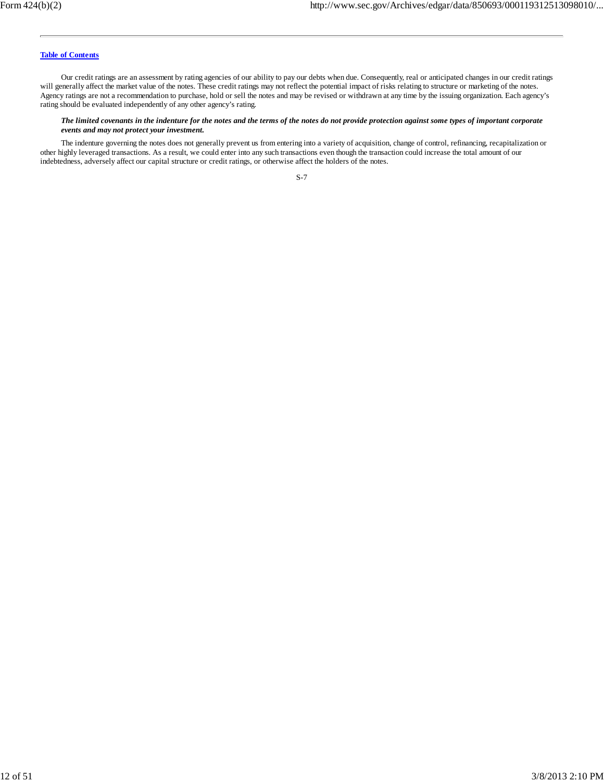Our credit ratings are an assessment by rating agencies of our ability to pay our debts when due. Consequently, real or anticipated changes in our credit ratings will generally affect the market value of the notes. These credit ratings may not reflect the potential impact of risks relating to structure or marketing of the notes. Agency ratings are not a recommendation to purchase, hold or sell the notes and may be revised or withdrawn at any time by the issuing organization. Each agency's rating should be evaluated independently of any other agency's rating.

#### *The limited covenants in the indenture for the notes and the terms of the notes do not provide protection against some types of important corporate events and may not protect your investment.*

The indenture governing the notes does not generally prevent us from entering into a variety of acquisition, change of control, refinancing, recapitalization or other highly leveraged transactions. As a result, we could enter into any such transactions even though the transaction could increase the total amount of our indebtedness, adversely affect our capital structure or credit ratings, or otherwise affect the holders of the notes.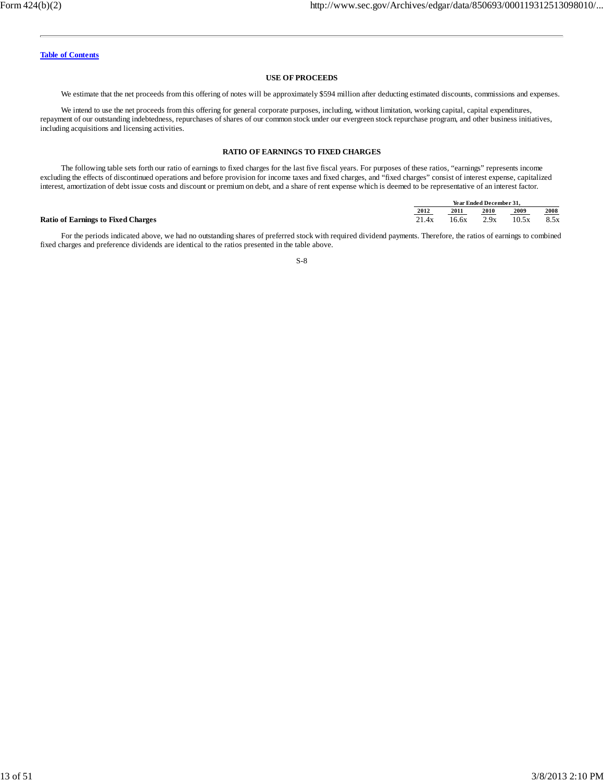#### **USE OF PROCEEDS**

We estimate that the net proceeds from this offering of notes will be approximately \$594 million after deducting estimated discounts, commissions and expenses.

We intend to use the net proceeds from this offering for general corporate purposes, including, without limitation, working capital, capital expenditures, repayment of our outstanding indebtedness, repurchases of shares of our common stock under our evergreen stock repurchase program, and other business initiatives, including acquisitions and licensing activities.

### **RATIO OF EARNINGS TO FIXED CHARGES**

The following table sets forth our ratio of earnings to fixed charges for the last five fiscal years. For purposes of these ratios, "earnings" represents income excluding the effects of discontinued operations and before provision for income taxes and fixed charges, and "fixed charges" consist of interest expense, capitalized interest, amortization of debt issue costs and discount or premium on debt, and a share of rent expense which is deemed to be representative of an interest factor.

|                                           | Year Ended December 31. |       |      |       |      |
|-------------------------------------------|-------------------------|-------|------|-------|------|
|                                           | 2012                    | 2011  | 2010 | 2009  | 2008 |
| <b>Ratio of Earnings to Fixed Charges</b> | 21.4x                   | 16.6x | 2.9x | 10.5x | 8.5x |

For the periods indicated above, we had no outstanding shares of preferred stock with required dividend payments. Therefore, the ratios of earnings to combined fixed charges and preference dividends are identical to the ratios presented in the table above.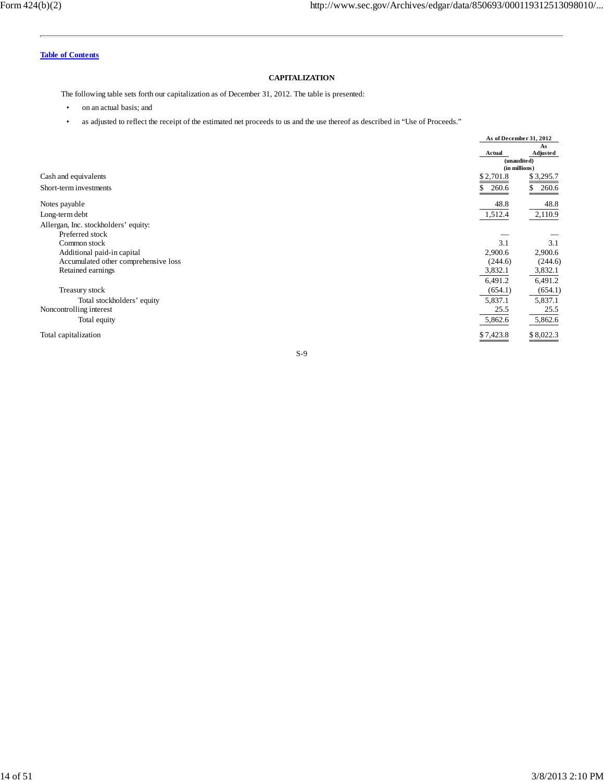### **CAPITALIZATION**

The following table sets forth our capitalization as of December 31, 2012. The table is presented:

- on an actual basis; and
- as adjusted to reflect the receipt of the estimated net proceeds to us and the use thereof as described in "Use of Proceeds."

|                                      |             | As of December 31, 2012 |
|--------------------------------------|-------------|-------------------------|
|                                      |             | As                      |
|                                      | Actual      | Adjusted                |
|                                      |             | (unaudited)             |
|                                      |             | (in millions)           |
| Cash and equivalents                 | \$2,701.8   | \$3,295.7               |
| Short-term investments               | 260.6<br>S. | 260.6<br>\$             |
| Notes payable                        | 48.8        | 48.8                    |
| Long-term debt                       | 1,512.4     | 2,110.9                 |
| Allergan, Inc. stockholders' equity: |             |                         |
| Preferred stock                      |             |                         |
| Common stock                         | 3.1         | 3.1                     |
| Additional paid-in capital           | 2,900.6     | 2,900.6                 |
| Accumulated other comprehensive loss | (244.6)     | (244.6)                 |
| Retained earnings                    | 3,832.1     | 3,832.1                 |
|                                      | 6,491.2     | 6,491.2                 |
| Treasury stock                       | (654.1)     | (654.1)                 |
| Total stockholders' equity           | 5,837.1     | 5,837.1                 |
| Noncontrolling interest              | 25.5        | 25.5                    |
| Total equity                         | 5,862.6     | 5,862.6                 |
| Total capitalization                 | \$7,423.8   | \$8,022.3               |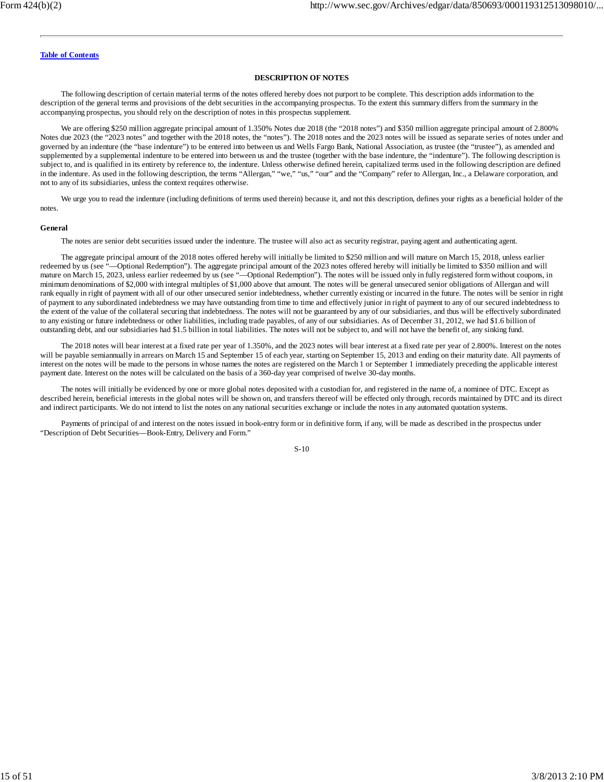#### **DESCRIPTION OF NOTES**

The following description of certain material terms of the notes offered hereby does not purport to be complete. This description adds information to the description of the general terms and provisions of the debt securities in the accompanying prospectus. To the extent this summary differs from the summary in the accompanying prospectus, you should rely on the description of notes in this prospectus supplement.

We are offering \$250 million aggregate principal amount of 1.350% Notes due 2018 (the "2018 notes") and \$350 million aggregate principal amount of 2.800% Notes due 2023 (the "2023 notes" and together with the 2018 notes, the "notes"). The 2018 notes and the 2023 notes will be issued as separate series of notes under and governed by an indenture (the "base indenture") to be entered into between us and Wells Fargo Bank, National Association, as trustee (the "trustee"), as amended and supplemented by a supplemental indenture to be entered into between us and the trustee (together with the base indenture, the "indenture"). The following description is subject to, and is qualified in its entirety by reference to, the indenture. Unless otherwise defined herein, capitalized terms used in the following description are defined in the indenture. As used in the following description, the terms "Allergan," "we," "us," "our" and the "Company" refer to Allergan, Inc., a Delaware corporation, and not to any of its subsidiaries, unless the context requires otherwise.

We urge you to read the indenture (including definitions of terms used therein) because it, and not this description, defines your rights as a beneficial holder of the notes.

#### **General**

The notes are senior debt securities issued under the indenture. The trustee will also act as security registrar, paying agent and authenticating agent.

The aggregate principal amount of the 2018 notes offered hereby will initially be limited to \$250 million and will mature on March 15, 2018, unless earlier redeemed by us (see "—Optional Redemption"). The aggregate principal amount of the 2023 notes offered hereby will initially be limited to \$350 million and will mature on March 15, 2023, unless earlier redeemed by us (see "—Optional Redemption"). The notes will be issued only in fully registered form without coupons, in minimum denominations of \$2,000 with integral multiples of \$1,000 above that amount. The notes will be general unsecured senior obligations of Allergan and will rank equally in right of payment with all of our other unsecured senior indebtedness, whether currently existing or incurred in the future. The notes will be senior in right of payment to any subordinated indebtedness we may have outstanding from time to time and effectively junior in right of payment to any of our secured indebtedness to the extent of the value of the collateral securing that indebtedness. The notes will not be guaranteed by any of our subsidiaries, and thus will be effectively subordinated to any existing or future indebtedness or other liabilities, including trade payables, of any of our subsidiaries. As of December 31, 2012, we had \$1.6 billion of outstanding debt, and our subsidiaries had \$1.5 billion in total liabilities. The notes will not be subject to, and will not have the benefit of, any sinking fund.

The 2018 notes will bear interest at a fixed rate per year of 1.350%, and the 2023 notes will bear interest at a fixed rate per year of 2.800%. Interest on the notes will be payable semiannually in arrears on March 15 and September 15 of each year, starting on September 15, 2013 and ending on their maturity date. All payments of interest on the notes will be made to the persons in whose names the notes are registered on the March 1 or September 1 immediately preceding the applicable interest payment date. Interest on the notes will be calculated on the basis of a 360-day year comprised of twelve 30-day months.

The notes will initially be evidenced by one or more global notes deposited with a custodian for, and registered in the name of, a nominee of DTC. Except as described herein, beneficial interests in the global notes will be shown on, and transfers thereof will be effected only through, records maintained by DTC and its direct and indirect participants. We do not intend to list the notes on any national securities exchange or include the notes in any automated quotation systems.

Payments of principal of and interest on the notes issued in book-entry form or in definitive form, if any, will be made as described in the prospectus under "Description of Debt Securities—Book-Entry, Delivery and Form."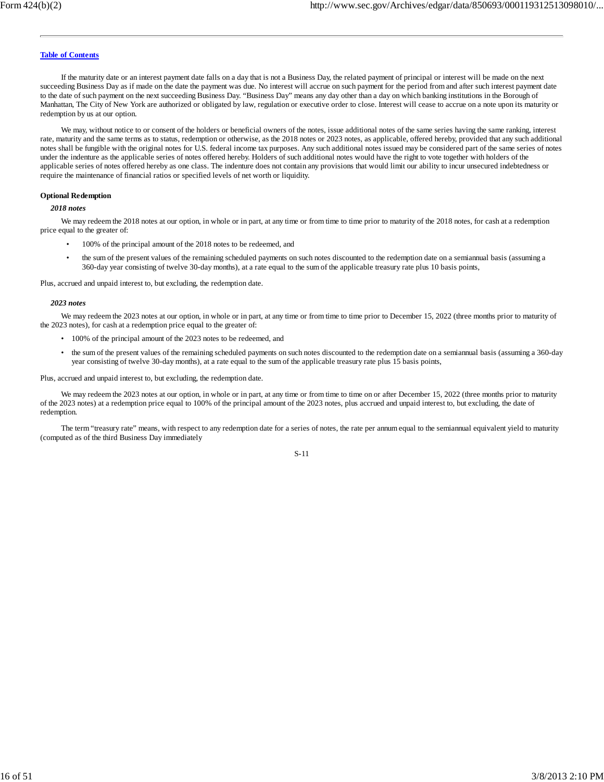If the maturity date or an interest payment date falls on a day that is not a Business Day, the related payment of principal or interest will be made on the next succeeding Business Day as if made on the date the payment was due. No interest will accrue on such payment for the period from and after such interest payment date to the date of such payment on the next succeeding Business Day. "Business Day" means any day other than a day on which banking institutions in the Borough of Manhattan, The City of New York are authorized or obligated by law, regulation or executive order to close. Interest will cease to accrue on a note upon its maturity or redemption by us at our option.

We may, without notice to or consent of the holders or beneficial owners of the notes, issue additional notes of the same series having the same ranking, interest rate, maturity and the same terms as to status, redemption or otherwise, as the 2018 notes or 2023 notes, as applicable, offered hereby, provided that any such additional notes shall be fungible with the original notes for U.S. federal income tax purposes. Any such additional notes issued may be considered part of the same series of notes under the indenture as the applicable series of notes offered hereby. Holders of such additional notes would have the right to vote together with holders of the applicable series of notes offered hereby as one class. The indenture does not contain any provisions that would limit our ability to incur unsecured indebtedness or require the maintenance of financial ratios or specified levels of net worth or liquidity.

#### **Optional Redemption**

*2018 notes*

We may redeem the 2018 notes at our option, in whole or in part, at any time or from time to time prior to maturity of the 2018 notes, for cash at a redemption price equal to the greater of:

- 100% of the principal amount of the 2018 notes to be redeemed, and
- the sum of the present values of the remaining scheduled payments on such notes discounted to the redemption date on a semiannual basis (assuming a 360-day year consisting of twelve 30-day months), at a rate equal to the sum of the applicable treasury rate plus 10 basis points,

Plus, accrued and unpaid interest to, but excluding, the redemption date.

#### *2023 notes*

We may redeem the 2023 notes at our option, in whole or in part, at any time or from time to time prior to December 15, 2022 (three months prior to maturity of the 2023 notes), for cash at a redemption price equal to the greater of:

- 100% of the principal amount of the 2023 notes to be redeemed, and
- the sum of the present values of the remaining scheduled payments on such notes discounted to the redemption date on a semiannual basis (assuming a 360-day year consisting of twelve 30-day months), at a rate equal to the sum of the applicable treasury rate plus 15 basis points,

Plus, accrued and unpaid interest to, but excluding, the redemption date.

We may redeem the 2023 notes at our option, in whole or in part, at any time or from time to time on or after December 15, 2022 (three months prior to maturity of the 2023 notes) at a redemption price equal to 100% of the principal amount of the 2023 notes, plus accrued and unpaid interest to, but excluding, the date of redemption.

The term "treasury rate" means, with respect to any redemption date for a series of notes, the rate per annum equal to the semiannual equivalent yield to maturity (computed as of the third Business Day immediately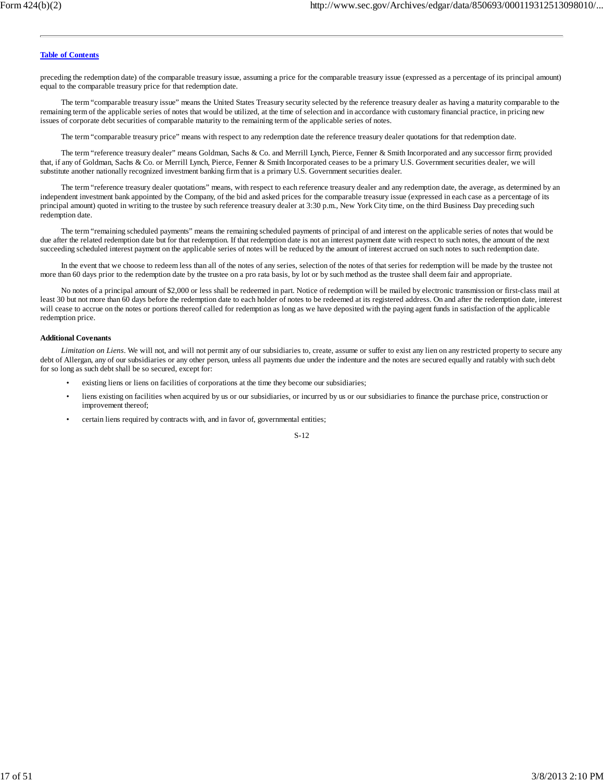preceding the redemption date) of the comparable treasury issue, assuming a price for the comparable treasury issue (expressed as a percentage of its principal amount) equal to the comparable treasury price for that redemption date.

The term "comparable treasury issue" means the United States Treasury security selected by the reference treasury dealer as having a maturity comparable to the remaining term of the applicable series of notes that would be utilized, at the time of selection and in accordance with customary financial practice, in pricing new issues of corporate debt securities of comparable maturity to the remaining term of the applicable series of notes.

The term "comparable treasury price" means with respect to any redemption date the reference treasury dealer quotations for that redemption date.

The term "reference treasury dealer" means Goldman, Sachs & Co. and Merrill Lynch, Pierce, Fenner & Smith Incorporated and any successor firm; provided that, if any of Goldman, Sachs & Co. or Merrill Lynch, Pierce, Fenner & Smith Incorporated ceases to be a primary U.S. Government securities dealer, we will substitute another nationally recognized investment banking firm that is a primary U.S. Government securities dealer.

The term "reference treasury dealer quotations" means, with respect to each reference treasury dealer and any redemption date, the average, as determined by an independent investment bank appointed by the Company, of the bid and asked prices for the comparable treasury issue (expressed in each case as a percentage of its principal amount) quoted in writing to the trustee by such reference treasury dealer at 3:30 p.m., New York City time, on the third Business Day preceding such redemption date.

The term "remaining scheduled payments" means the remaining scheduled payments of principal of and interest on the applicable series of notes that would be due after the related redemption date but for that redemption. If that redemption date is not an interest payment date with respect to such notes, the amount of the next succeeding scheduled interest payment on the applicable series of notes will be reduced by the amount of interest accrued on such notes to such redemption date.

In the event that we choose to redeem less than all of the notes of any series, selection of the notes of that series for redemption will be made by the trustee not more than 60 days prior to the redemption date by the trustee on a pro rata basis, by lot or by such method as the trustee shall deem fair and appropriate.

No notes of a principal amount of \$2,000 or less shall be redeemed in part. Notice of redemption will be mailed by electronic transmission or first-class mail at least 30 but not more than 60 days before the redemption date to each holder of notes to be redeemed at its registered address. On and after the redemption date, interest will cease to accrue on the notes or portions thereof called for redemption as long as we have deposited with the paying agent funds in satisfaction of the applicable redemption price.

#### **Additional Covenants**

*Limitation on Liens*. We will not, and will not permit any of our subsidiaries to, create, assume or suffer to exist any lien on any restricted property to secure any debt of Allergan, any of our subsidiaries or any other person, unless all payments due under the indenture and the notes are secured equally and ratably with such debt for so long as such debt shall be so secured, except for:

- existing liens or liens on facilities of corporations at the time they become our subsidiaries;
- liens existing on facilities when acquired by us or our subsidiaries, or incurred by us or our subsidiaries to finance the purchase price, construction or improvement thereof;
- certain liens required by contracts with, and in favor of, governmental entities;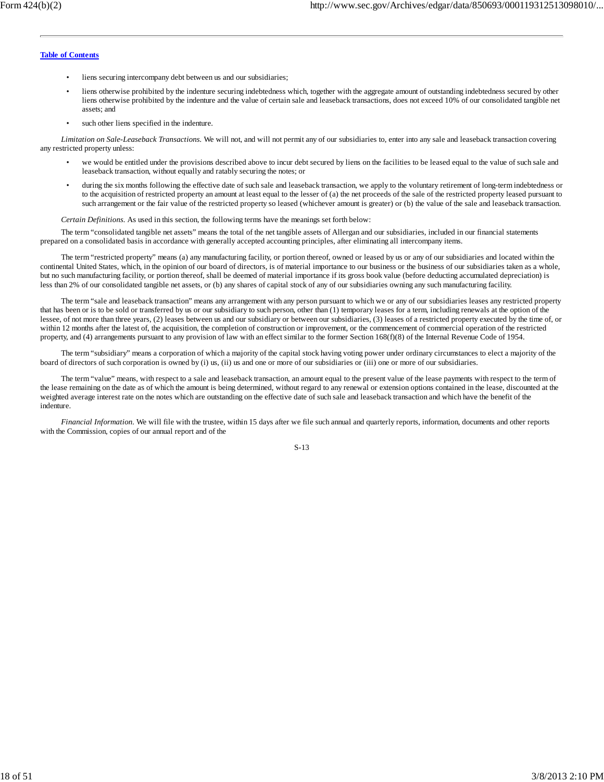- liens securing intercompany debt between us and our subsidiaries;
- liens otherwise prohibited by the indenture securing indebtedness which, together with the aggregate amount of outstanding indebtedness secured by other liens otherwise prohibited by the indenture and the value of certain sale and leaseback transactions, does not exceed 10% of our consolidated tangible net assets; and
- such other liens specified in the indenture.

*Limitation on Sale-Leaseback Transactions.* We will not, and will not permit any of our subsidiaries to, enter into any sale and leaseback transaction covering any restricted property unless:

- we would be entitled under the provisions described above to incur debt secured by liens on the facilities to be leased equal to the value of such sale and leaseback transaction, without equally and ratably securing the notes; or
- during the six months following the effective date of such sale and leaseback transaction, we apply to the voluntary retirement of long-term indebtedness or to the acquisition of restricted property an amount at least equal to the lesser of (a) the net proceeds of the sale of the restricted property leased pursuant to such arrangement or the fair value of the restricted property so leased (whichever amount is greater) or (b) the value of the sale and leaseback transaction.

*Certain Definitions.* As used in this section, the following terms have the meanings set forth below:

The term "consolidated tangible net assets" means the total of the net tangible assets of Allergan and our subsidiaries, included in our financial statements prepared on a consolidated basis in accordance with generally accepted accounting principles, after eliminating all intercompany items.

The term "restricted property" means (a) any manufacturing facility, or portion thereof, owned or leased by us or any of our subsidiaries and located within the continental United States, which, in the opinion of our board of directors, is of material importance to our business or the business of our subsidiaries taken as a whole, but no such manufacturing facility, or portion thereof, shall be deemed of material importance if its gross book value (before deducting accumulated depreciation) is less than 2% of our consolidated tangible net assets, or (b) any shares of capital stock of any of our subsidiaries owning any such manufacturing facility.

The term "sale and leaseback transaction" means any arrangement with any person pursuant to which we or any of our subsidiaries leases any restricted property that has been or is to be sold or transferred by us or our subsidiary to such person, other than (1) temporary leases for a term, including renewals at the option of the lessee, of not more than three years, (2) leases between us and our subsidiary or between our subsidiaries, (3) leases of a restricted property executed by the time of, or within 12 months after the latest of, the acquisition, the completion of construction or improvement, or the commencement of commercial operation of the restricted property, and (4) arrangements pursuant to any provision of law with an effect similar to the former Section 168(f)(8) of the Internal Revenue Code of 1954.

The term "subsidiary" means a corporation of which a majority of the capital stock having voting power under ordinary circumstances to elect a majority of the board of directors of such corporation is owned by (i) us, (ii) us and one or more of our subsidiaries or (iii) one or more of our subsidiaries.

The term "value" means, with respect to a sale and leaseback transaction, an amount equal to the present value of the lease payments with respect to the term of the lease remaining on the date as of which the amount is being determined, without regard to any renewal or extension options contained in the lease, discounted at the weighted average interest rate on the notes which are outstanding on the effective date of such sale and leaseback transaction and which have the benefit of the indenture.

*Financial Information.* We will file with the trustee, within 15 days after we file such annual and quarterly reports, information, documents and other reports with the Commission, copies of our annual report and of the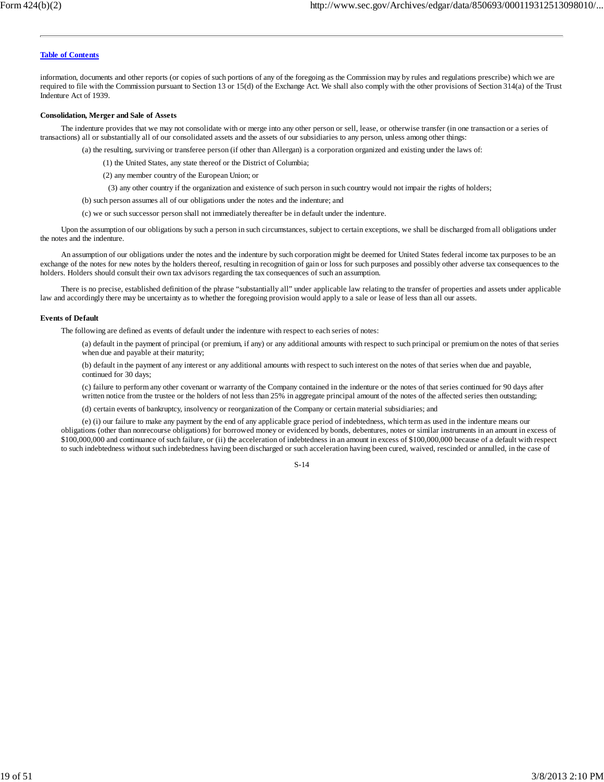information, documents and other reports (or copies of such portions of any of the foregoing as the Commission may by rules and regulations prescribe) which we are required to file with the Commission pursuant to Section 13 or 15(d) of the Exchange Act. We shall also comply with the other provisions of Section 314(a) of the Trust Indenture Act of 1939.

#### **Consolidation, Merger and Sale of Assets**

The indenture provides that we may not consolidate with or merge into any other person or sell, lease, or otherwise transfer (in one transaction or a series of transactions) all or substantially all of our consolidated assets and the assets of our subsidiaries to any person, unless among other things:

(a) the resulting, surviving or transferee person (if other than Allergan) is a corporation organized and existing under the laws of:

(1) the United States, any state thereof or the District of Columbia;

- (2) any member country of the European Union; or
- (3) any other country if the organization and existence of such person in such country would not impair the rights of holders;
- (b) such person assumes all of our obligations under the notes and the indenture; and
- (c) we or such successor person shall not immediately thereafter be in default under the indenture.

Upon the assumption of our obligations by such a person in such circumstances, subject to certain exceptions, we shall be discharged from all obligations under the notes and the indenture.

An assumption of our obligations under the notes and the indenture by such corporation might be deemed for United States federal income tax purposes to be an exchange of the notes for new notes by the holders thereof, resulting in recognition of gain or loss for such purposes and possibly other adverse tax consequences to the holders. Holders should consult their own tax advisors regarding the tax consequences of such an assumption.

There is no precise, established definition of the phrase "substantially all" under applicable law relating to the transfer of properties and assets under applicable law and accordingly there may be uncertainty as to whether the foregoing provision would apply to a sale or lease of less than all our assets.

#### **Events of Default**

The following are defined as events of default under the indenture with respect to each series of notes:

(a) default in the payment of principal (or premium, if any) or any additional amounts with respect to such principal or premium on the notes of that series when due and payable at their maturity;

(b) default in the payment of any interest or any additional amounts with respect to such interest on the notes of that series when due and payable, continued for 30 days;

(c) failure to perform any other covenant or warranty of the Company contained in the indenture or the notes of that series continued for 90 days after written notice from the trustee or the holders of not less than 25% in aggregate principal amount of the notes of the affected series then outstanding;

(d) certain events of bankruptcy, insolvency or reorganization of the Company or certain material subsidiaries; and

(e) (i) our failure to make any payment by the end of any applicable grace period of indebtedness, which term as used in the indenture means our obligations (other than nonrecourse obligations) for borrowed money or evidenced by bonds, debentures, notes or similar instruments in an amount in excess of \$100,000,000 and continuance of such failure, or (ii) the acceleration of indebtedness in an amount in excess of \$100,000,000 because of a default with respect to such indebtedness without such indebtedness having been discharged or such acceleration having been cured, waived, rescinded or annulled, in the case of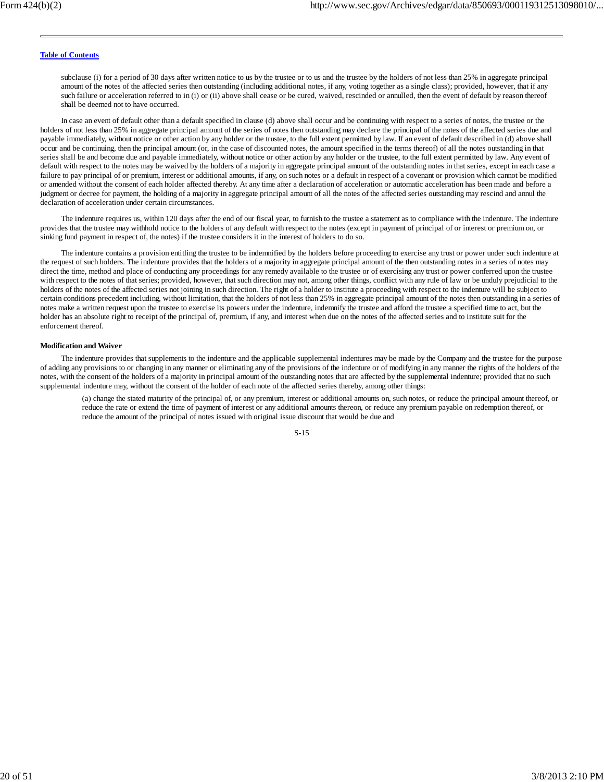subclause (i) for a period of 30 days after written notice to us by the trustee or to us and the trustee by the holders of not less than 25% in aggregate principal amount of the notes of the affected series then outstanding (including additional notes, if any, voting together as a single class); provided, however, that if any such failure or acceleration referred to in (i) or (ii) above shall cease or be cured, waived, rescinded or annulled, then the event of default by reason thereof shall be deemed not to have occurred.

In case an event of default other than a default specified in clause (d) above shall occur and be continuing with respect to a series of notes, the trustee or the holders of not less than 25% in aggregate principal amount of the series of notes then outstanding may declare the principal of the notes of the affected series due and payable immediately, without notice or other action by any holder or the trustee, to the full extent permitted by law. If an event of default described in (d) above shall occur and be continuing, then the principal amount (or, in the case of discounted notes, the amount specified in the terms thereof) of all the notes outstanding in that series shall be and become due and payable immediately, without notice or other action by any holder or the trustee, to the full extent permitted by law. Any event of default with respect to the notes may be waived by the holders of a majority in aggregate principal amount of the outstanding notes in that series, except in each case a failure to pay principal of or premium, interest or additional amounts, if any, on such notes or a default in respect of a covenant or provision which cannot be modified or amended without the consent of each holder affected thereby. At any time after a declaration of acceleration or automatic acceleration has been made and before a judgment or decree for payment, the holding of a majority in aggregate principal amount of all the notes of the affected series outstanding may rescind and annul the declaration of acceleration under certain circumstances.

The indenture requires us, within 120 days after the end of our fiscal year, to furnish to the trustee a statement as to compliance with the indenture. The indenture provides that the trustee may withhold notice to the holders of any default with respect to the notes (except in payment of principal of or interest or premium on, or sinking fund payment in respect of, the notes) if the trustee considers it in the interest of holders to do so.

The indenture contains a provision entitling the trustee to be indemnified by the holders before proceeding to exercise any trust or power under such indenture at the request of such holders. The indenture provides that the holders of a majority in aggregate principal amount of the then outstanding notes in a series of notes may direct the time, method and place of conducting any proceedings for any remedy available to the trustee or of exercising any trust or power conferred upon the trustee with respect to the notes of that series; provided, however, that such direction may not, among other things, conflict with any rule of law or be unduly prejudicial to the holders of the notes of the affected series not joining in such direction. The right of a holder to institute a proceeding with respect to the indenture will be subject to certain conditions precedent including, without limitation, that the holders of not less than 25% in aggregate principal amount of the notes then outstanding in a series of notes make a written request upon the trustee to exercise its powers under the indenture, indemnify the trustee and afford the trustee a specified time to act, but the holder has an absolute right to receipt of the principal of, premium, if any, and interest when due on the notes of the affected series and to institute suit for the enforcement thereof.

#### **Modification and Waiver**

The indenture provides that supplements to the indenture and the applicable supplemental indentures may be made by the Company and the trustee for the purpose of adding any provisions to or changing in any manner or eliminating any of the provisions of the indenture or of modifying in any manner the rights of the holders of the notes, with the consent of the holders of a majority in principal amount of the outstanding notes that are affected by the supplemental indenture; provided that no such supplemental indenture may, without the consent of the holder of each note of the affected series thereby, among other things:

(a) change the stated maturity of the principal of, or any premium, interest or additional amounts on, such notes, or reduce the principal amount thereof, or reduce the rate or extend the time of payment of interest or any additional amounts thereon, or reduce any premium payable on redemption thereof, or reduce the amount of the principal of notes issued with original issue discount that would be due and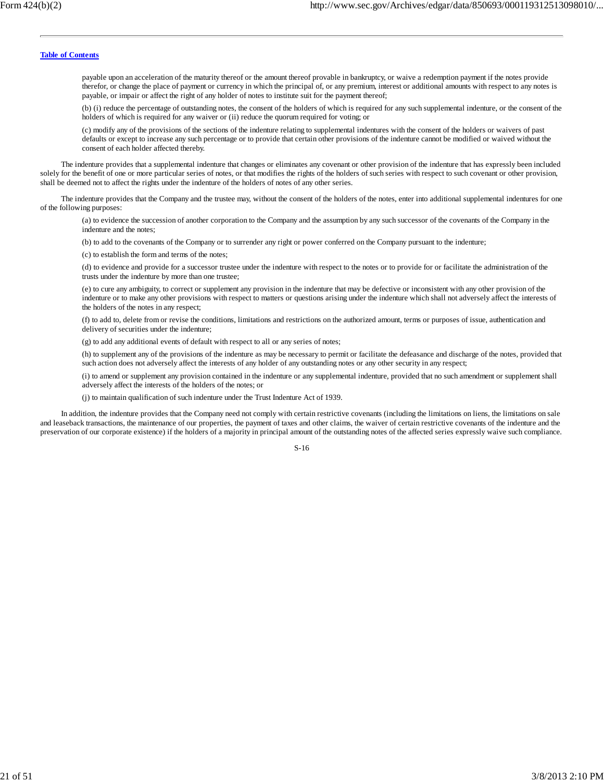payable upon an acceleration of the maturity thereof or the amount thereof provable in bankruptcy, or waive a redemption payment if the notes provide therefor, or change the place of payment or currency in which the principal of, or any premium, interest or additional amounts with respect to any notes is payable, or impair or affect the right of any holder of notes to institute suit for the payment thereof;

(b) (i) reduce the percentage of outstanding notes, the consent of the holders of which is required for any such supplemental indenture, or the consent of the holders of which is required for any waiver or (ii) reduce the quorum required for voting; or

(c) modify any of the provisions of the sections of the indenture relating to supplemental indentures with the consent of the holders or waivers of past defaults or except to increase any such percentage or to provide that certain other provisions of the indenture cannot be modified or waived without the consent of each holder affected thereby.

The indenture provides that a supplemental indenture that changes or eliminates any covenant or other provision of the indenture that has expressly been included solely for the benefit of one or more particular series of notes, or that modifies the rights of the holders of such series with respect to such covenant or other provision, shall be deemed not to affect the rights under the indenture of the holders of notes of any other series.

The indenture provides that the Company and the trustee may, without the consent of the holders of the notes, enter into additional supplemental indentures for one of the following purposes:

(a) to evidence the succession of another corporation to the Company and the assumption by any such successor of the covenants of the Company in the indenture and the notes;

(b) to add to the covenants of the Company or to surrender any right or power conferred on the Company pursuant to the indenture;

(c) to establish the form and terms of the notes;

(d) to evidence and provide for a successor trustee under the indenture with respect to the notes or to provide for or facilitate the administration of the trusts under the indenture by more than one trustee;

(e) to cure any ambiguity, to correct or supplement any provision in the indenture that may be defective or inconsistent with any other provision of the indenture or to make any other provisions with respect to matters or questions arising under the indenture which shall not adversely affect the interests of the holders of the notes in any respect;

(f) to add to, delete from or revise the conditions, limitations and restrictions on the authorized amount, terms or purposes of issue, authentication and delivery of securities under the indenture;

(g) to add any additional events of default with respect to all or any series of notes;

(h) to supplement any of the provisions of the indenture as may be necessary to permit or facilitate the defeasance and discharge of the notes, provided that such action does not adversely affect the interests of any holder of any outstanding notes or any other security in any respect;

(i) to amend or supplement any provision contained in the indenture or any supplemental indenture, provided that no such amendment or supplement shall adversely affect the interests of the holders of the notes; or

(j) to maintain qualification of such indenture under the Trust Indenture Act of 1939.

In addition, the indenture provides that the Company need not comply with certain restrictive covenants (including the limitations on liens, the limitations on sale and leaseback transactions, the maintenance of our properties, the payment of taxes and other claims, the waiver of certain restrictive covenants of the indenture and the preservation of our corporate existence) if the holders of a majority in principal amount of the outstanding notes of the affected series expressly waive such compliance.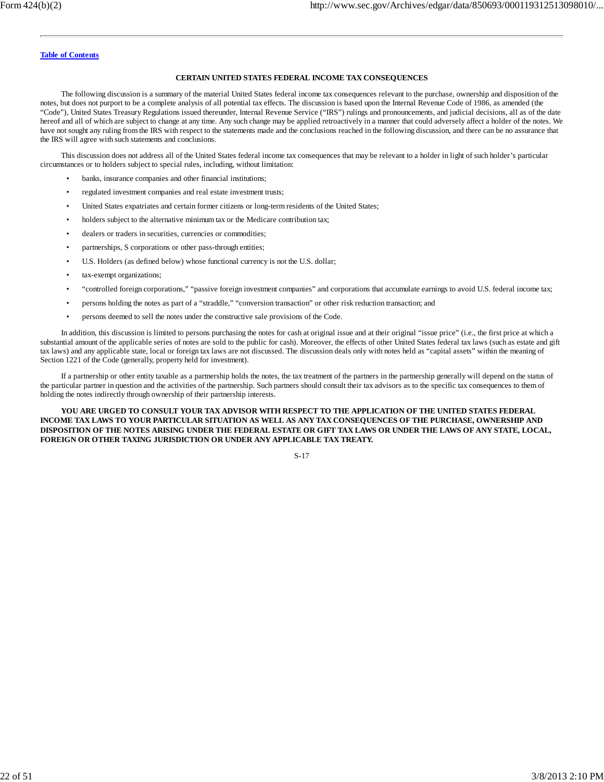#### **CERTAIN UNITED STATES FEDERAL INCOME TAX CONSEQUENCES**

The following discussion is a summary of the material United States federal income tax consequences relevant to the purchase, ownership and disposition of the notes, but does not purport to be a complete analysis of all potential tax effects. The discussion is based upon the Internal Revenue Code of 1986, as amended (the "Code"), United States Treasury Regulations issued thereunder, Internal Revenue Service ("IRS") rulings and pronouncements, and judicial decisions, all as of the date hereof and all of which are subject to change at any time. Any such change may be applied retroactively in a manner that could adversely affect a holder of the notes. We have not sought any ruling from the IRS with respect to the statements made and the conclusions reached in the following discussion, and there can be no assurance that the IRS will agree with such statements and conclusions.

This discussion does not address all of the United States federal income tax consequences that may be relevant to a holder in light of such holder's particular circumstances or to holders subject to special rules, including, without limitation:

- banks, insurance companies and other financial institutions;
- regulated investment companies and real estate investment trusts;
- United States expatriates and certain former citizens or long-term residents of the United States;
- holders subject to the alternative minimum tax or the Medicare contribution tax;
- dealers or traders in securities, currencies or commodities;
- partnerships, S corporations or other pass-through entities;
- U.S. Holders (as defined below) whose functional currency is not the U.S. dollar;
- tax-exempt organizations;
- "controlled foreign corporations," "passive foreign investment companies" and corporations that accumulate earnings to avoid U.S. federal income tax;
- persons holding the notes as part of a "straddle," "conversion transaction" or other risk reduction transaction; and
- persons deemed to sell the notes under the constructive sale provisions of the Code.

In addition, this discussion is limited to persons purchasing the notes for cash at original issue and at their original "issue price" (i.e., the first price at which a substantial amount of the applicable series of notes are sold to the public for cash). Moreover, the effects of other United States federal tax laws (such as estate and gift tax laws) and any applicable state, local or foreign tax laws are not discussed. The discussion deals only with notes held as "capital assets" within the meaning of Section 1221 of the Code (generally, property held for investment).

If a partnership or other entity taxable as a partnership holds the notes, the tax treatment of the partners in the partnership generally will depend on the status of the particular partner in question and the activities of the partnership. Such partners should consult their tax advisors as to the specific tax consequences to them of holding the notes indirectly through ownership of their partnership interests.

**YOU ARE URGED TO CONSULT YOUR TAX ADVISOR WITH RESPECT TO THE APPLICATION OF THE UNITED STATES FEDERAL INCOME TAX LAWS TO YOUR PARTICULAR SITUATION AS WELL AS ANY TAX CONSEQUENCES OF THE PURCHASE, OWNERSHIP AND DISPOSITION OF THE NOTES ARISING UNDER THE FEDERAL ESTATE OR GIFT TAX LAWS OR UNDER THE LAWS OF ANY STATE, LOCAL, FOREIGN OR OTHER TAXING JURISDICTION OR UNDER ANY APPLICABLE TAX TREATY.**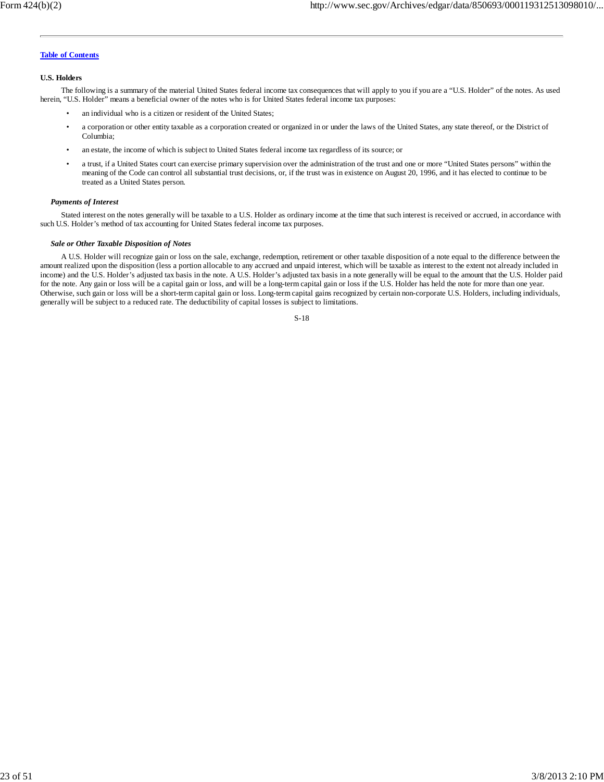#### **U.S. Holders**

The following is a summary of the material United States federal income tax consequences that will apply to you if you are a "U.S. Holder" of the notes. As used herein, "U.S. Holder" means a beneficial owner of the notes who is for United States federal income tax purposes:

- an individual who is a citizen or resident of the United States;
- a corporation or other entity taxable as a corporation created or organized in or under the laws of the United States, any state thereof, or the District of Columbia;
- an estate, the income of which is subject to United States federal income tax regardless of its source; or
- a trust, if a United States court can exercise primary supervision over the administration of the trust and one or more "United States persons" within the meaning of the Code can control all substantial trust decisions, or, if the trust was in existence on August 20, 1996, and it has elected to continue to be treated as a United States person.

### *Payments of Interest*

Stated interest on the notes generally will be taxable to a U.S. Holder as ordinary income at the time that such interest is received or accrued, in accordance with such U.S. Holder's method of tax accounting for United States federal income tax purposes.

#### *Sale or Other Taxable Disposition of Notes*

A U.S. Holder will recognize gain or loss on the sale, exchange, redemption, retirement or other taxable disposition of a note equal to the difference between the amount realized upon the disposition (less a portion allocable to any accrued and unpaid interest, which will be taxable as interest to the extent not already included in income) and the U.S. Holder's adjusted tax basis in the note. A U.S. Holder's adjusted tax basis in a note generally will be equal to the amount that the U.S. Holder paid for the note. Any gain or loss will be a capital gain or loss, and will be a long-term capital gain or loss if the U.S. Holder has held the note for more than one year. Otherwise, such gain or loss will be a short-term capital gain or loss. Long-term capital gains recognized by certain non-corporate U.S. Holders, including individuals, generally will be subject to a reduced rate. The deductibility of capital losses is subject to limitations.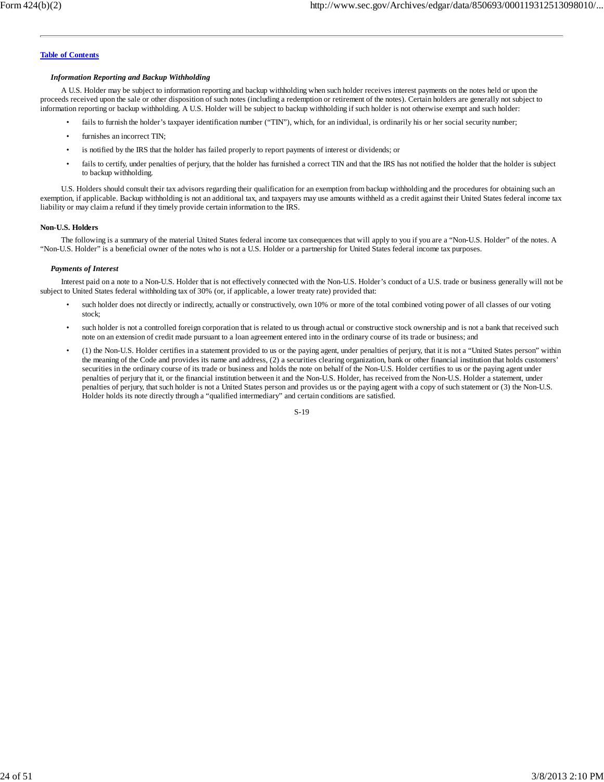#### *Information Reporting and Backup Withholding*

A U.S. Holder may be subject to information reporting and backup withholding when such holder receives interest payments on the notes held or upon the proceeds received upon the sale or other disposition of such notes (including a redemption or retirement of the notes). Certain holders are generally not subject to information reporting or backup withholding. A U.S. Holder will be subject to backup withholding if such holder is not otherwise exempt and such holder:

- fails to furnish the holder's taxpayer identification number ("TIN"), which, for an individual, is ordinarily his or her social security number;
- furnishes an incorrect TIN;
- is notified by the IRS that the holder has failed properly to report payments of interest or dividends; or
- fails to certify, under penalties of perjury, that the holder has furnished a correct TIN and that the IRS has not notified the holder that the holder is subject to backup withholding.

U.S. Holders should consult their tax advisors regarding their qualification for an exemption from backup withholding and the procedures for obtaining such an exemption, if applicable. Backup withholding is not an additional tax, and taxpayers may use amounts withheld as a credit against their United States federal income tax liability or may claim a refund if they timely provide certain information to the IRS.

#### **Non-U.S. Holders**

The following is a summary of the material United States federal income tax consequences that will apply to you if you are a "Non-U.S. Holder" of the notes. A "Non-U.S. Holder" is a beneficial owner of the notes who is not a U.S. Holder or a partnership for United States federal income tax purposes.

#### *Payments of Interest*

Interest paid on a note to a Non-U.S. Holder that is not effectively connected with the Non-U.S. Holder's conduct of a U.S. trade or business generally will not be subject to United States federal withholding tax of 30% (or, if applicable, a lower treaty rate) provided that:

- such holder does not directly or indirectly, actually or constructively, own 10% or more of the total combined voting power of all classes of our voting stock;
- such holder is not a controlled foreign corporation that is related to us through actual or constructive stock ownership and is not a bank that received such note on an extension of credit made pursuant to a loan agreement entered into in the ordinary course of its trade or business; and
- (1) the Non-U.S. Holder certifies in a statement provided to us or the paying agent, under penalties of perjury, that it is not a "United States person" within the meaning of the Code and provides its name and address, (2) a securities clearing organization, bank or other financial institution that holds customers' securities in the ordinary course of its trade or business and holds the note on behalf of the Non-U.S. Holder certifies to us or the paying agent under penalties of perjury that it, or the financial institution between it and the Non-U.S. Holder, has received from the Non-U.S. Holder a statement, under penalties of perjury, that such holder is not a United States person and provides us or the paying agent with a copy of such statement or (3) the Non-U.S. Holder holds its note directly through a "qualified intermediary" and certain conditions are satisfied.

| I<br>۰.<br>۰. | ٦<br>۰.<br>v |
|---------------|--------------|
|               |              |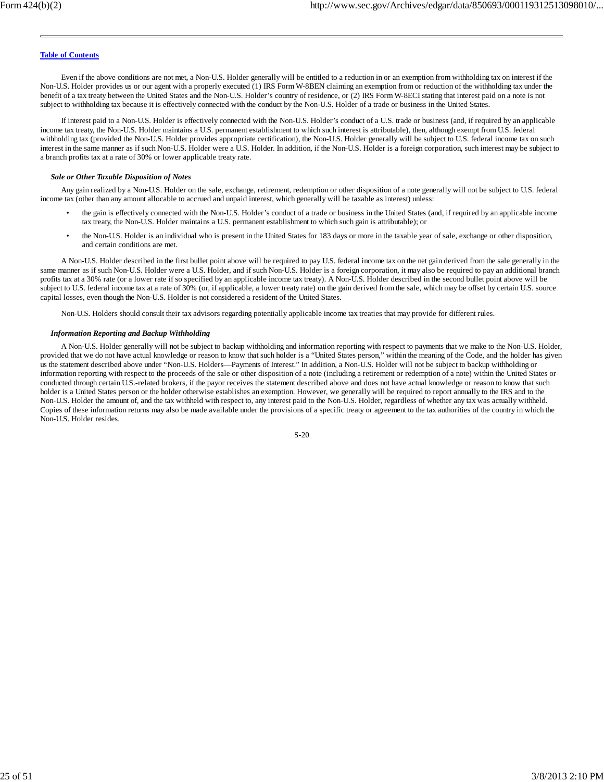Even if the above conditions are not met, a Non-U.S. Holder generally will be entitled to a reduction in or an exemption from withholding tax on interest if the Non-U.S. Holder provides us or our agent with a properly executed (1) IRS Form W-8BEN claiming an exemption from or reduction of the withholding tax under the benefit of a tax treaty between the United States and the Non-U.S. Holder's country of residence, or (2) IRS Form W-8ECI stating that interest paid on a note is not subject to withholding tax because it is effectively connected with the conduct by the Non-U.S. Holder of a trade or business in the United States.

If interest paid to a Non-U.S. Holder is effectively connected with the Non-U.S. Holder's conduct of a U.S. trade or business (and, if required by an applicable income tax treaty, the Non-U.S. Holder maintains a U.S. permanent establishment to which such interest is attributable), then, although exempt from U.S. federal withholding tax (provided the Non-U.S. Holder provides appropriate certification), the Non-U.S. Holder generally will be subject to U.S. federal income tax on such interest in the same manner as if such Non-U.S. Holder were a U.S. Holder. In addition, if the Non-U.S. Holder is a foreign corporation, such interest may be subject to a branch profits tax at a rate of 30% or lower applicable treaty rate.

#### *Sale or Other Taxable Disposition of Notes*

Any gain realized by a Non-U.S. Holder on the sale, exchange, retirement, redemption or other disposition of a note generally will not be subject to U.S. federal income tax (other than any amount allocable to accrued and unpaid interest, which generally will be taxable as interest) unless:

- the gain is effectively connected with the Non-U.S. Holder's conduct of a trade or business in the United States (and, if required by an applicable income tax treaty, the Non-U.S. Holder maintains a U.S. permanent establishment to which such gain is attributable); or
- the Non-U.S. Holder is an individual who is present in the United States for 183 days or more in the taxable year of sale, exchange or other disposition, and certain conditions are met.

A Non-U.S. Holder described in the first bullet point above will be required to pay U.S. federal income tax on the net gain derived from the sale generally in the same manner as if such Non-U.S. Holder were a U.S. Holder, and if such Non-U.S. Holder is a foreign corporation, it may also be required to pay an additional branch profits tax at a 30% rate (or a lower rate if so specified by an applicable income tax treaty). A Non-U.S. Holder described in the second bullet point above will be subject to U.S. federal income tax at a rate of 30% (or, if applicable, a lower treaty rate) on the gain derived from the sale, which may be offset by certain U.S. source capital losses, even though the Non-U.S. Holder is not considered a resident of the United States.

Non-U.S. Holders should consult their tax advisors regarding potentially applicable income tax treaties that may provide for different rules.

#### *Information Reporting and Backup Withholding*

A Non-U.S. Holder generally will not be subject to backup withholding and information reporting with respect to payments that we make to the Non-U.S. Holder, provided that we do not have actual knowledge or reason to know that such holder is a "United States person," within the meaning of the Code, and the holder has given us the statement described above under "Non-U.S. Holders—Payments of Interest." In addition, a Non-U.S. Holder will not be subject to backup withholding or information reporting with respect to the proceeds of the sale or other disposition of a note (including a retirement or redemption of a note) within the United States or conducted through certain U.S.-related brokers, if the payor receives the statement described above and does not have actual knowledge or reason to know that such holder is a United States person or the holder otherwise establishes an exemption. However, we generally will be required to report annually to the IRS and to the Non-U.S. Holder the amount of, and the tax withheld with respect to, any interest paid to the Non-U.S. Holder, regardless of whether any tax was actually withheld. Copies of these information returns may also be made available under the provisions of a specific treaty or agreement to the tax authorities of the country in which the Non-U.S. Holder resides.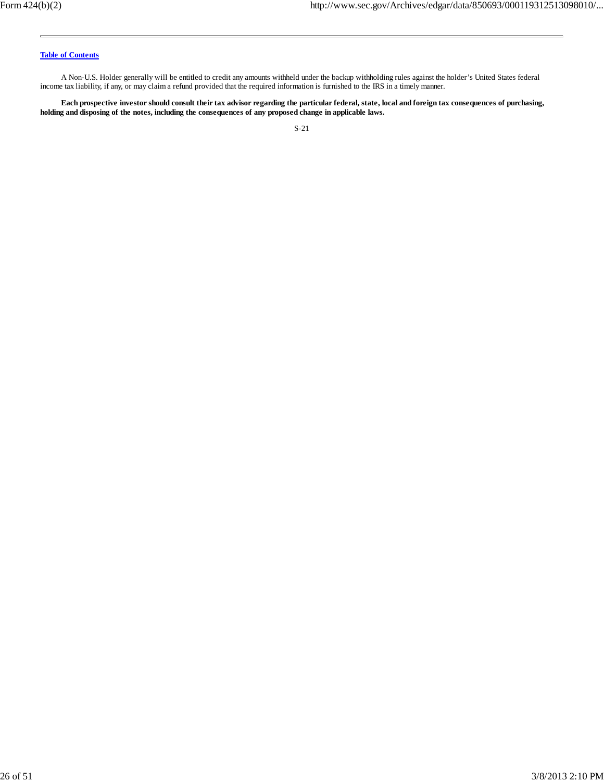A Non-U.S. Holder generally will be entitled to credit any amounts withheld under the backup withholding rules against the holder's United States federal income tax liability, if any, or may claim a refund provided that the required information is furnished to the IRS in a timely manner.

**Each prospective investor should consult their tax advisor regarding the particular federal, state, local and foreign tax consequences of purchasing, holding and disposing of the notes, including the consequences of any proposed change in applicable laws.**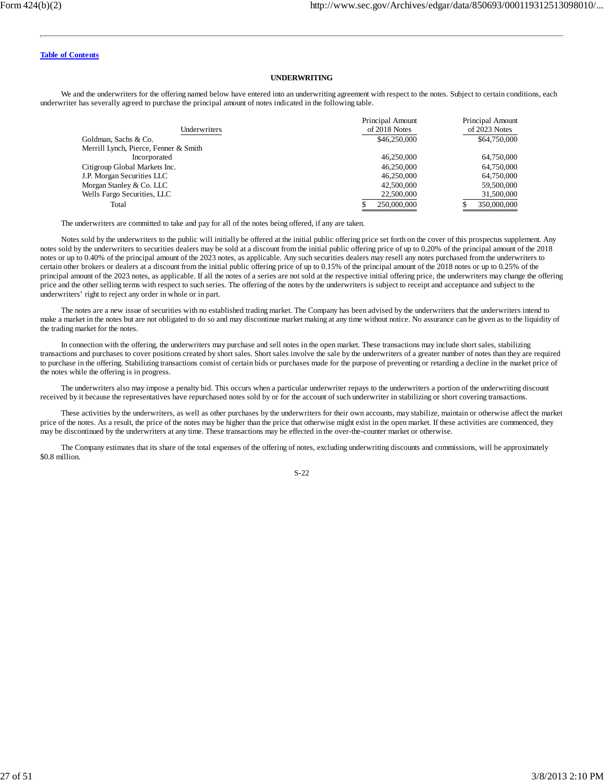#### **UNDERWRITING**

We and the underwriters for the offering named below have entered into an underwriting agreement with respect to the notes. Subject to certain conditions, each underwriter has severally agreed to purchase the principal amount of notes indicated in the following table.

|                                       | Principal Amount | Principal Amount |
|---------------------------------------|------------------|------------------|
| Underwriters                          | of 2018 Notes    | of 2023 Notes    |
| Goldman, Sachs & Co.                  | \$46,250,000     | \$64,750,000     |
| Merrill Lynch, Pierce, Fenner & Smith |                  |                  |
| Incorporated                          | 46,250,000       | 64,750,000       |
| Citigroup Global Markets Inc.         | 46,250,000       | 64,750,000       |
| J.P. Morgan Securities LLC            | 46,250,000       | 64,750,000       |
| Morgan Stanley & Co. LLC              | 42,500,000       | 59,500,000       |
| Wells Fargo Securities, LLC           | 22,500,000       | 31,500,000       |
| Total                                 | 250,000,000      | 350,000,000      |

The underwriters are committed to take and pay for all of the notes being offered, if any are taken.

Notes sold by the underwriters to the public will initially be offered at the initial public offering price set forth on the cover of this prospectus supplement. Any notes sold by the underwriters to securities dealers may be sold at a discount from the initial public offering price of up to 0.20% of the principal amount of the 2018 notes or up to 0.40% of the principal amount of the 2023 notes, as applicable. Any such securities dealers may resell any notes purchased from the underwriters to certain other brokers or dealers at a discount from the initial public offering price of up to 0.15% of the principal amount of the 2018 notes or up to 0.25% of the principal amount of the 2023 notes, as applicable. If all the notes of a series are not sold at the respective initial offering price, the underwriters may change the offering price and the other selling terms with respect to such series. The offering of the notes by the underwriters is subject to receipt and acceptance and subject to the underwriters' right to reject any order in whole or in part.

The notes are a new issue of securities with no established trading market. The Company has been advised by the underwriters that the underwriters intend to make a market in the notes but are not obligated to do so and may discontinue market making at any time without notice. No assurance can be given as to the liquidity of the trading market for the notes.

In connection with the offering, the underwriters may purchase and sell notes in the open market. These transactions may include short sales, stabilizing transactions and purchases to cover positions created by short sales. Short sales involve the sale by the underwriters of a greater number of notes than they are required to purchase in the offering. Stabilizing transactions consist of certain bids or purchases made for the purpose of preventing or retarding a decline in the market price of the notes while the offering is in progress.

The underwriters also may impose a penalty bid. This occurs when a particular underwriter repays to the underwriters a portion of the underwriting discount received by it because the representatives have repurchased notes sold by or for the account of such underwriter in stabilizing or short covering transactions.

These activities by the underwriters, as well as other purchases by the underwriters for their own accounts, may stabilize, maintain or otherwise affect the market price of the notes. As a result, the price of the notes may be higher than the price that otherwise might exist in the open market. If these activities are commenced, they may be discontinued by the underwriters at any time. These transactions may be effected in the over-the-counter market or otherwise.

The Company estimates that its share of the total expenses of the offering of notes, excluding underwriting discounts and commissions, will be approximately \$0.8 million.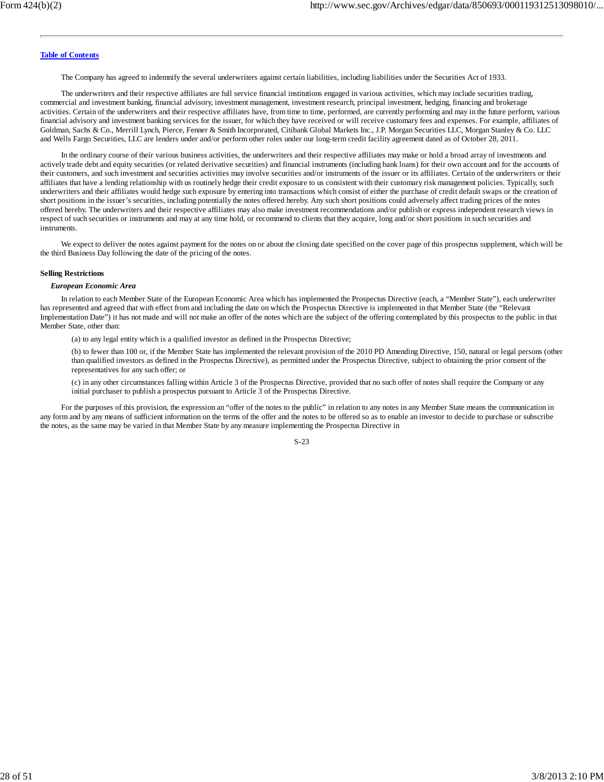The Company has agreed to indemnify the several underwriters against certain liabilities, including liabilities under the Securities Act of 1933.

The underwriters and their respective affiliates are full service financial institutions engaged in various activities, which may include securities trading, commercial and investment banking, financial advisory, investment management, investment research, principal investment, hedging, financing and brokerage activities. Certain of the underwriters and their respective affiliates have, from time to time, performed, are currently performing and may in the future perform, various financial advisory and investment banking services for the issuer, for which they have received or will receive customary fees and expenses. For example, affiliates of Goldman, Sachs & Co., Merrill Lynch, Pierce, Fenner & Smith Incorporated, Citibank Global Markets Inc., J.P. Morgan Securities LLC, Morgan Stanley & Co. LLC and Wells Fargo Securities, LLC are lenders under and/or perform other roles under our long-term credit facility agreement dated as of October 28, 2011.

In the ordinary course of their various business activities, the underwriters and their respective affiliates may make or hold a broad array of investments and actively trade debt and equity securities (or related derivative securities) and financial instruments (including bank loans) for their own account and for the accounts of their customers, and such investment and securities activities may involve securities and/or instruments of the issuer or its affiliates. Certain of the underwriters or their affiliates that have a lending relationship with us routinely hedge their credit exposure to us consistent with their customary risk management policies. Typically, such underwriters and their affiliates would hedge such exposure by entering into transactions which consist of either the purchase of credit default swaps or the creation of short positions in the issuer's securities, including potentially the notes offered hereby. Any such short positions could adversely affect trading prices of the notes offered hereby. The underwriters and their respective affiliates may also make investment recommendations and/or publish or express independent research views in respect of such securities or instruments and may at any time hold, or recommend to clients that they acquire, long and/or short positions in such securities and instruments.

We expect to deliver the notes against payment for the notes on or about the closing date specified on the cover page of this prospectus supplement, which will be the third Business Day following the date of the pricing of the notes.

#### **Selling Restrictions**

#### *European Economic Area*

In relation to each Member State of the European Economic Area which has implemented the Prospectus Directive (each, a "Member State"), each underwriter has represented and agreed that with effect from and including the date on which the Prospectus Directive is implemented in that Member State (the "Relevant Implementation Date") it has not made and will not make an offer of the notes which are the subject of the offering contemplated by this prospectus to the public in that Member State, other than:

(a) to any legal entity which is a qualified investor as defined in the Prospectus Directive;

(b) to fewer than 100 or, if the Member State has implemented the relevant provision of the 2010 PD Amending Directive, 150, natural or legal persons (other than qualified investors as defined in the Prospectus Directive), as permitted under the Prospectus Directive, subject to obtaining the prior consent of the representatives for any such offer; or

(c) in any other circumstances falling within Article 3 of the Prospectus Directive, provided that no such offer of notes shall require the Company or any initial purchaser to publish a prospectus pursuant to Article 3 of the Prospectus Directive.

For the purposes of this provision, the expression an "offer of the notes to the public" in relation to any notes in any Member State means the communication in any form and by any means of sufficient information on the terms of the offer and the notes to be offered so as to enable an investor to decide to purchase or subscribe the notes, as the same may be varied in that Member State by any measure implementing the Prospectus Directive in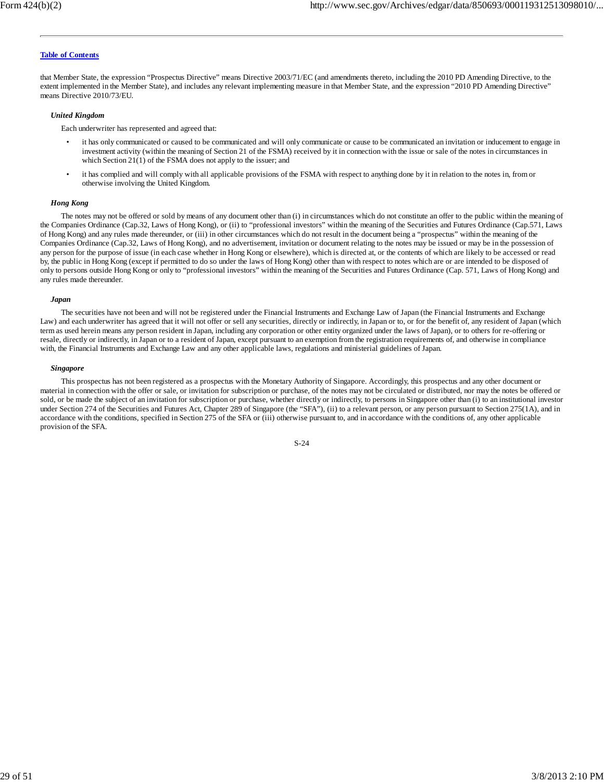that Member State, the expression "Prospectus Directive" means Directive 2003/71/EC (and amendments thereto, including the 2010 PD Amending Directive, to the extent implemented in the Member State), and includes any relevant implementing measure in that Member State, and the expression "2010 PD Amending Directive" means Directive 2010/73/EU.

#### *United Kingdom*

Each underwriter has represented and agreed that:

- it has only communicated or caused to be communicated and will only communicate or cause to be communicated an invitation or inducement to engage in investment activity (within the meaning of Section 21 of the FSMA) received by it in connection with the issue or sale of the notes in circumstances in which Section 21(1) of the FSMA does not apply to the issuer; and
- it has complied and will comply with all applicable provisions of the FSMA with respect to anything done by it in relation to the notes in, from or otherwise involving the United Kingdom.

#### *Hong Kong*

The notes may not be offered or sold by means of any document other than (i) in circumstances which do not constitute an offer to the public within the meaning of the Companies Ordinance (Cap.32, Laws of Hong Kong), or (ii) to "professional investors" within the meaning of the Securities and Futures Ordinance (Cap.571, Laws of Hong Kong) and any rules made thereunder, or (iii) in other circumstances which do not result in the document being a "prospectus" within the meaning of the Companies Ordinance (Cap.32, Laws of Hong Kong), and no advertisement, invitation or document relating to the notes may be issued or may be in the possession of any person for the purpose of issue (in each case whether in Hong Kong or elsewhere), which is directed at, or the contents of which are likely to be accessed or read by, the public in Hong Kong (except if permitted to do so under the laws of Hong Kong) other than with respect to notes which are or are intended to be disposed of only to persons outside Hong Kong or only to "professional investors" within the meaning of the Securities and Futures Ordinance (Cap. 571, Laws of Hong Kong) and any rules made thereunder.

#### *Japan*

The securities have not been and will not be registered under the Financial Instruments and Exchange Law of Japan (the Financial Instruments and Exchange Law) and each underwriter has agreed that it will not offer or sell any securities, directly or indirectly, in Japan or to, or for the benefit of, any resident of Japan (which term as used herein means any person resident in Japan, including any corporation or other entity organized under the laws of Japan), or to others for re-offering or resale, directly or indirectly, in Japan or to a resident of Japan, except pursuant to an exemption from the registration requirements of, and otherwise in compliance with, the Financial Instruments and Exchange Law and any other applicable laws, regulations and ministerial guidelines of Japan.

#### *Singapore*

This prospectus has not been registered as a prospectus with the Monetary Authority of Singapore. Accordingly, this prospectus and any other document or material in connection with the offer or sale, or invitation for subscription or purchase, of the notes may not be circulated or distributed, nor may the notes be offered or sold, or be made the subject of an invitation for subscription or purchase, whether directly or indirectly, to persons in Singapore other than (i) to an institutional investor under Section 274 of the Securities and Futures Act, Chapter 289 of Singapore (the "SFA"), (ii) to a relevant person, or any person pursuant to Section 275(1A), and in accordance with the conditions, specified in Section 275 of the SFA or (iii) otherwise pursuant to, and in accordance with the conditions of, any other applicable provision of the SFA.

$$
S-24
$$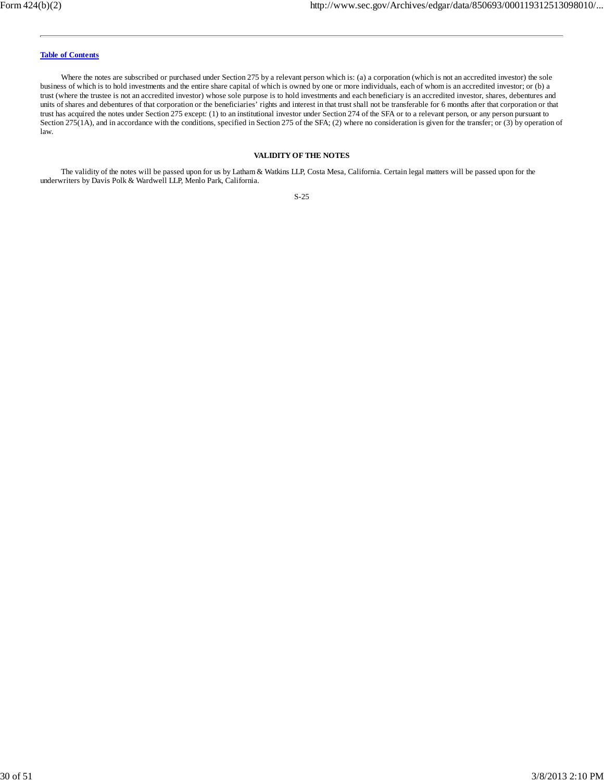Where the notes are subscribed or purchased under Section 275 by a relevant person which is: (a) a corporation (which is not an accredited investor) the sole business of which is to hold investments and the entire share capital of which is owned by one or more individuals, each of whom is an accredited investor; or (b) a trust (where the trustee is not an accredited investor) whose sole purpose is to hold investments and each beneficiary is an accredited investor, shares, debentures and units of shares and debentures of that corporation or the beneficiaries' rights and interest in that trust shall not be transferable for 6 months after that corporation or that trust has acquired the notes under Section 275 except: (1) to an institutional investor under Section 274 of the SFA or to a relevant person, or any person pursuant to Section 275(1A), and in accordance with the conditions, specified in Section 275 of the SFA; (2) where no consideration is given for the transfer; or (3) by operation of law.

#### **VALIDITY OF THE NOTES**

The validity of the notes will be passed upon for us by Latham & Watkins LLP, Costa Mesa, California. Certain legal matters will be passed upon for the underwriters by Davis Polk & Wardwell LLP, Menlo Park, California.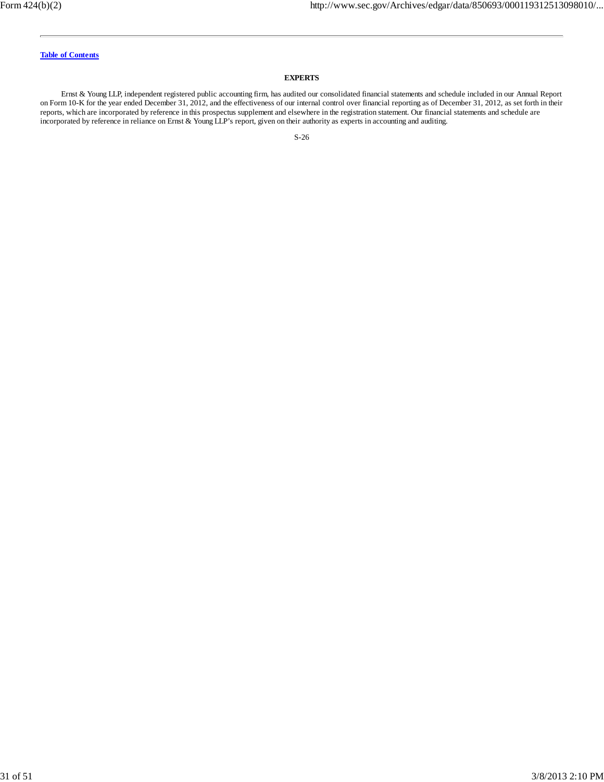#### **EXPERTS**

Ernst & Young LLP, independent registered public accounting firm, has audited our consolidated financial statements and schedule included in our Annual Report on Form 10-K for the year ended December 31, 2012, and the effectiveness of our internal control over financial reporting as of December 31, 2012, as set forth in their reports, which are incorporated by reference in this prospectus supplement and elsewhere in the registration statement. Our financial statements and schedule are incorporated by reference in reliance on Ernst & Young LLP's report, given on their authority as experts in accounting and auditing.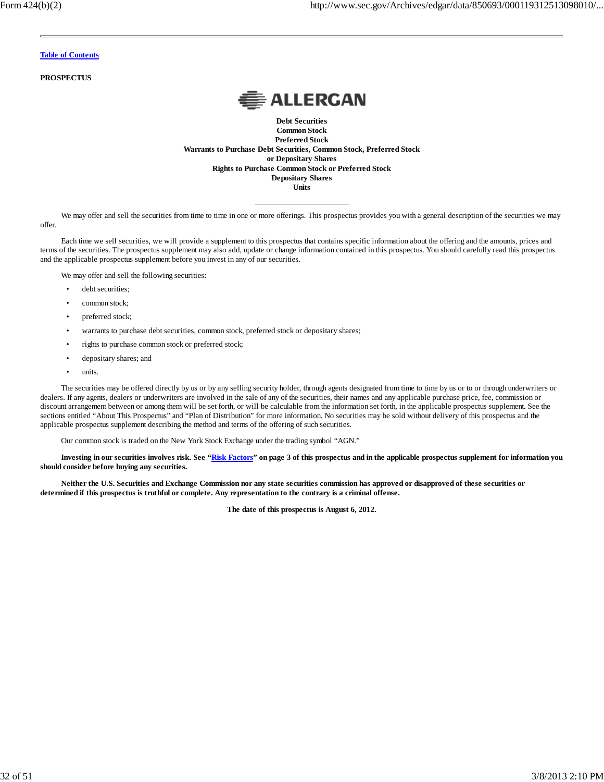**PROSPECTUS**



**Debt Securities Common Stock Preferred Stock Warrants to Purchase Debt Securities, Common Stock, Preferred Stock or Depositary Shares Rights to Purchase Common Stock or Preferred Stock Depositary Shares Units**

We may offer and sell the securities from time to time in one or more offerings. This prospectus provides you with a general description of the securities we may offer.

Each time we sell securities, we will provide a supplement to this prospectus that contains specific information about the offering and the amounts, prices and terms of the securities. The prospectus supplement may also add, update or change information contained in this prospectus. You should carefully read this prospectus and the applicable prospectus supplement before you invest in any of our securities.

We may offer and sell the following securities:

- debt securities;
- common stock;
- preferred stock;
- warrants to purchase debt securities, common stock, preferred stock or depositary shares;
- rights to purchase common stock or preferred stock;
- depositary shares; and
- units.

The securities may be offered directly by us or by any selling security holder, through agents designated from time to time by us or to or through underwriters or dealers. If any agents, dealers or underwriters are involved in the sale of any of the securities, their names and any applicable purchase price, fee, commission or discount arrangement between or among them will be set forth, or will be calculable from the information set forth, in the applicable prospectus supplement. See the sections entitled "About This Prospectus" and "Plan of Distribution" for more information. No securities may be sold without delivery of this prospectus and the applicable prospectus supplement describing the method and terms of the offering of such securities.

Our common stock is traded on the New York Stock Exchange under the trading symbol "AGN."

**Investing in our securities involves risk. See "Risk Factors" on page 3 of this prospectus and in the applicable prospectus supplement for information you should consider before buying any securities.**

**Neither the U.S. Securities and Exchange Commission nor any state securities commission has approved or disapproved of these securities or determined if this prospectus is truthful or complete. Any representation to the contrary is a criminal offense.**

**The date of this prospectus is August 6, 2012.**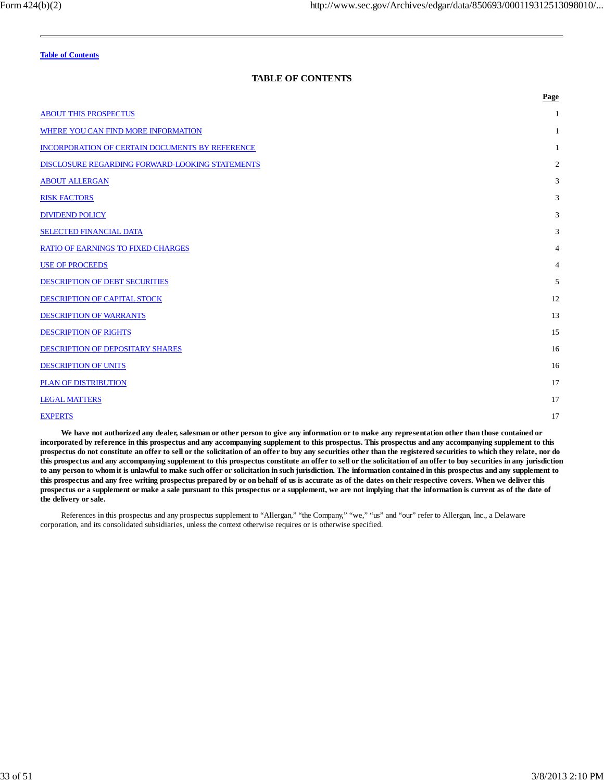### **TABLE OF CONTENTS**

|                                                 | Page           |
|-------------------------------------------------|----------------|
| <b>ABOUT THIS PROSPECTUS</b>                    | 1              |
| WHERE YOU CAN FIND MORE INFORMATION             | 1              |
| INCORPORATION OF CERTAIN DOCUMENTS BY REFERENCE | 1              |
| DISCLOSURE REGARDING FORWARD-LOOKING STATEMENTS | 2              |
| <b>ABOUT ALLERGAN</b>                           | 3              |
| <b>RISK FACTORS</b>                             | 3              |
| <b>DIVIDEND POLICY</b>                          | 3              |
| <b>SELECTED FINANCIAL DATA</b>                  | 3              |
| <b>RATIO OF EARNINGS TO FIXED CHARGES</b>       | $\overline{4}$ |
| <b>USE OF PROCEEDS</b>                          | $\overline{4}$ |
| <b>DESCRIPTION OF DEBT SECURITIES</b>           | 5              |
| DESCRIPTION OF CAPITAL STOCK                    | 12             |
| <b>DESCRIPTION OF WARRANTS</b>                  | 13             |
| <b>DESCRIPTION OF RIGHTS</b>                    | 15             |
| <b>DESCRIPTION OF DEPOSITARY SHARES</b>         | 16             |
| <b>DESCRIPTION OF UNITS</b>                     | 16             |
| <b>PLAN OF DISTRIBUTION</b>                     | 17             |
| <b>LEGAL MATTERS</b>                            | 17             |
| <b>EXPERTS</b>                                  | 17             |

**We have not authorized any dealer, salesman or other person to give any information or to make any representation other than those contained or incorporated by reference in this prospectus and any accompanying supplement to this prospectus. This prospectus and any accompanying supplement to this prospectus do not constitute an offer to sell or the solicitation of an offer to buy any securities other than the registered securities to which they relate, nor do this prospectus and any accompanying supplement to this prospectus constitute an offer to sell or the solicitation of an offer to buy securities in any jurisdiction to any person to whom it is unlawful to make such offer or solicitation in such jurisdiction. The information contained in this prospectus and any supplement to this prospectus and any free writing prospectus prepared by or on behalf of us is accurate as of the dates on their respective covers. When we deliver this prospectus or a supplement or make a sale pursuant to this prospectus or a supplement, we are not implying that the information is current as of the date of the delivery or sale.**

References in this prospectus and any prospectus supplement to "Allergan," "the Company," "we," "us" and "our" refer to Allergan, Inc., a Delaware corporation, and its consolidated subsidiaries, unless the context otherwise requires or is otherwise specified.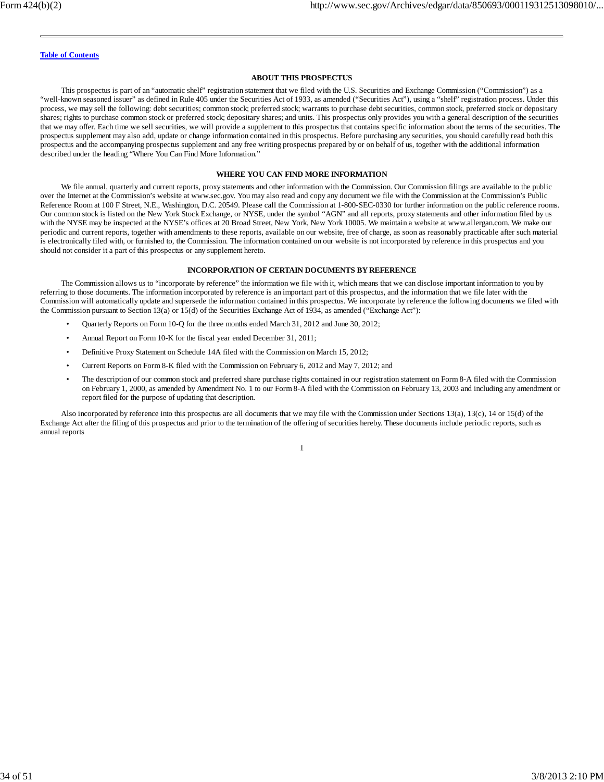#### **ABOUT THIS PROSPECTUS**

This prospectus is part of an "automatic shelf" registration statement that we filed with the U.S. Securities and Exchange Commission ("Commission") as a "well-known seasoned issuer" as defined in Rule 405 under the Securities Act of 1933, as amended ("Securities Act"), using a "shelf" registration process. Under this process, we may sell the following: debt securities; common stock; preferred stock; warrants to purchase debt securities, common stock, preferred stock or depositary shares; rights to purchase common stock or preferred stock; depositary shares; and units. This prospectus only provides you with a general description of the securities that we may offer. Each time we sell securities, we will provide a supplement to this prospectus that contains specific information about the terms of the securities. The prospectus supplement may also add, update or change information contained in this prospectus. Before purchasing any securities, you should carefully read both this prospectus and the accompanying prospectus supplement and any free writing prospectus prepared by or on behalf of us, together with the additional information described under the heading "Where You Can Find More Information."

#### **WHERE YOU CAN FIND MORE INFORMATION**

We file annual, quarterly and current reports, proxy statements and other information with the Commission. Our Commission filings are available to the public over the Internet at the Commission's website at www.sec.gov. You may also read and copy any document we file with the Commission at the Commission's Public Reference Room at 100 F Street, N.E., Washington, D.C. 20549. Please call the Commission at 1-800-SEC-0330 for further information on the public reference rooms. Our common stock is listed on the New York Stock Exchange, or NYSE, under the symbol "AGN" and all reports, proxy statements and other information filed by us with the NYSE may be inspected at the NYSE's offices at 20 Broad Street, New York, New York 10005. We maintain a website at www.allergan.com. We make our periodic and current reports, together with amendments to these reports, available on our website, free of charge, as soon as reasonably practicable after such material is electronically filed with, or furnished to, the Commission. The information contained on our website is not incorporated by reference in this prospectus and you should not consider it a part of this prospectus or any supplement hereto.

#### **INCORPORATION OF CERTAIN DOCUMENTS BY REFERENCE**

The Commission allows us to "incorporate by reference" the information we file with it, which means that we can disclose important information to you by referring to those documents. The information incorporated by reference is an important part of this prospectus, and the information that we file later with the Commission will automatically update and supersede the information contained in this prospectus. We incorporate by reference the following documents we filed with the Commission pursuant to Section 13(a) or 15(d) of the Securities Exchange Act of 1934, as amended ("Exchange Act"):

- Quarterly Reports on Form 10-Q for the three months ended March 31, 2012 and June 30, 2012;
- Annual Report on Form 10-K for the fiscal year ended December 31, 2011;
- Definitive Proxy Statement on Schedule 14A filed with the Commission on March 15, 2012;
- Current Reports on Form 8-K filed with the Commission on February 6, 2012 and May 7, 2012; and
- The description of our common stock and preferred share purchase rights contained in our registration statement on Form 8-A filed with the Commission on February 1, 2000, as amended by Amendment No. 1 to our Form 8-A filed with the Commission on February 13, 2003 and including any amendment or report filed for the purpose of updating that description.

Also incorporated by reference into this prospectus are all documents that we may file with the Commission under Sections 13(a), 13(c), 14 or 15(d) of the Exchange Act after the filing of this prospectus and prior to the termination of the offering of securities hereby. These documents include periodic reports, such as annual reports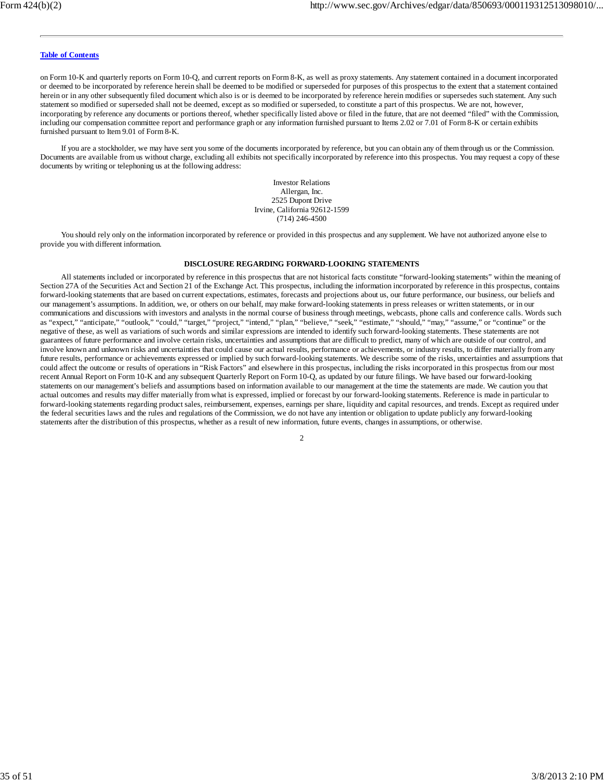on Form 10-K and quarterly reports on Form 10-Q, and current reports on Form 8-K, as well as proxy statements. Any statement contained in a document incorporated or deemed to be incorporated by reference herein shall be deemed to be modified or superseded for purposes of this prospectus to the extent that a statement contained herein or in any other subsequently filed document which also is or is deemed to be incorporated by reference herein modifies or supersedes such statement. Any such statement so modified or superseded shall not be deemed, except as so modified or superseded, to constitute a part of this prospectus. We are not, however, incorporating by reference any documents or portions thereof, whether specifically listed above or filed in the future, that are not deemed "filed" with the Commission, including our compensation committee report and performance graph or any information furnished pursuant to Items 2.02 or 7.01 of Form 8-K or certain exhibits furnished pursuant to Item 9.01 of Form 8-K.

If you are a stockholder, we may have sent you some of the documents incorporated by reference, but you can obtain any of them through us or the Commission. Documents are available from us without charge, excluding all exhibits not specifically incorporated by reference into this prospectus. You may request a copy of these documents by writing or telephoning us at the following address:

> Investor Relations Allergan, Inc. 2525 Dupont Drive Irvine, California 92612-1599 (714) 246-4500

You should rely only on the information incorporated by reference or provided in this prospectus and any supplement. We have not authorized anyone else to provide you with different information.

#### **DISCLOSURE REGARDING FORWARD-LOOKING STATEMENTS**

All statements included or incorporated by reference in this prospectus that are not historical facts constitute "forward-looking statements" within the meaning of Section 27A of the Securities Act and Section 21 of the Exchange Act. This prospectus, including the information incorporated by reference in this prospectus, contains forward-looking statements that are based on current expectations, estimates, forecasts and projections about us, our future performance, our business, our beliefs and our management's assumptions. In addition, we, or others on our behalf, may make forward-looking statements in press releases or written statements, or in our communications and discussions with investors and analysts in the normal course of business through meetings, webcasts, phone calls and conference calls. Words such as "expect," "anticipate," "outlook," "could," "target," "project," "intend," "plan," "believe," "seek," "estimate," "should," "may," "assume," or "continue" or the negative of these, as well as variations of such words and similar expressions are intended to identify such forward-looking statements. These statements are not guarantees of future performance and involve certain risks, uncertainties and assumptions that are difficult to predict, many of which are outside of our control, and involve known and unknown risks and uncertainties that could cause our actual results, performance or achievements, or industry results, to differ materially from any future results, performance or achievements expressed or implied by such forward-looking statements. We describe some of the risks, uncertainties and assumptions that could affect the outcome or results of operations in "Risk Factors" and elsewhere in this prospectus, including the risks incorporated in this prospectus from our most recent Annual Report on Form 10-K and any subsequent Quarterly Report on Form 10-Q, as updated by our future filings. We have based our forward-looking statements on our management's beliefs and assumptions based on information available to our management at the time the statements are made. We caution you that actual outcomes and results may differ materially from what is expressed, implied or forecast by our forward-looking statements. Reference is made in particular to forward-looking statements regarding product sales, reimbursement, expenses, earnings per share, liquidity and capital resources, and trends. Except as required under the federal securities laws and the rules and regulations of the Commission, we do not have any intention or obligation to update publicly any forward-looking statements after the distribution of this prospectus, whether as a result of new information, future events, changes in assumptions, or otherwise.

<sup>2</sup>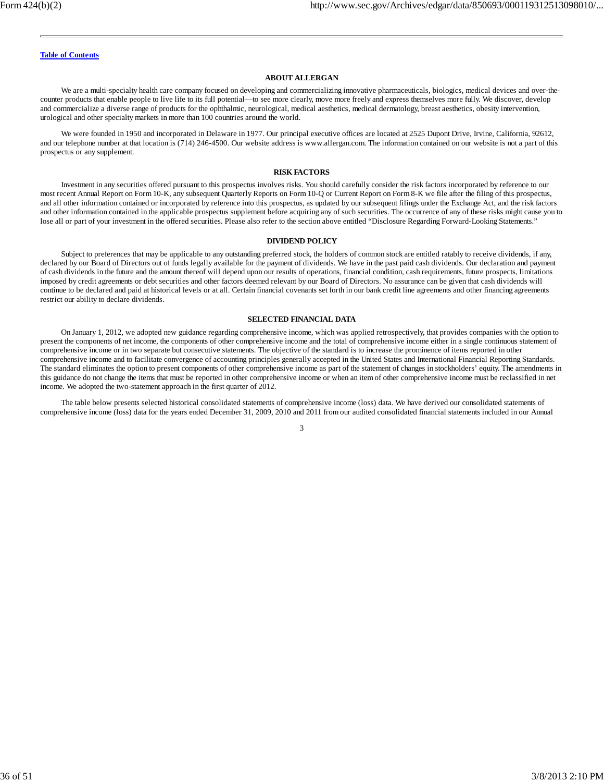#### **ABOUT ALLERGAN**

We are a multi-specialty health care company focused on developing and commercializing innovative pharmaceuticals, biologics, medical devices and over-thecounter products that enable people to live life to its full potential—to see more clearly, move more freely and express themselves more fully. We discover, develop and commercialize a diverse range of products for the ophthalmic, neurological, medical aesthetics, medical dermatology, breast aesthetics, obesity intervention, urological and other specialty markets in more than 100 countries around the world.

We were founded in 1950 and incorporated in Delaware in 1977. Our principal executive offices are located at 2525 Dupont Drive, Irvine, California, 92612, and our telephone number at that location is (714) 246-4500. Our website address is www.allergan.com. The information contained on our website is not a part of this prospectus or any supplement.

#### **RISK FACTORS**

Investment in any securities offered pursuant to this prospectus involves risks. You should carefully consider the risk factors incorporated by reference to our most recent Annual Report on Form 10-K, any subsequent Quarterly Reports on Form 10-Q or Current Report on Form 8-K we file after the filing of this prospectus, and all other information contained or incorporated by reference into this prospectus, as updated by our subsequent filings under the Exchange Act, and the risk factors and other information contained in the applicable prospectus supplement before acquiring any of such securities. The occurrence of any of these risks might cause you to lose all or part of your investment in the offered securities. Please also refer to the section above entitled "Disclosure Regarding Forward-Looking Statements."

#### **DIVIDEND POLICY**

Subject to preferences that may be applicable to any outstanding preferred stock, the holders of common stock are entitled ratably to receive dividends, if any, declared by our Board of Directors out of funds legally available for the payment of dividends. We have in the past paid cash dividends. Our declaration and payment of cash dividends in the future and the amount thereof will depend upon our results of operations, financial condition, cash requirements, future prospects, limitations imposed by credit agreements or debt securities and other factors deemed relevant by our Board of Directors. No assurance can be given that cash dividends will continue to be declared and paid at historical levels or at all. Certain financial covenants set forth in our bank credit line agreements and other financing agreements restrict our ability to declare dividends.

#### **SELECTED FINANCIAL DATA**

On January 1, 2012, we adopted new guidance regarding comprehensive income, which was applied retrospectively, that provides companies with the option to present the components of net income, the components of other comprehensive income and the total of comprehensive income either in a single continuous statement of comprehensive income or in two separate but consecutive statements. The objective of the standard is to increase the prominence of items reported in other comprehensive income and to facilitate convergence of accounting principles generally accepted in the United States and International Financial Reporting Standards. The standard eliminates the option to present components of other comprehensive income as part of the statement of changes in stockholders' equity. The amendments in this guidance do not change the items that must be reported in other comprehensive income or when an item of other comprehensive income must be reclassified in net income. We adopted the two-statement approach in the first quarter of 2012.

The table below presents selected historical consolidated statements of comprehensive income (loss) data. We have derived our consolidated statements of comprehensive income (loss) data for the years ended December 31, 2009, 2010 and 2011 from our audited consolidated financial statements included in our Annual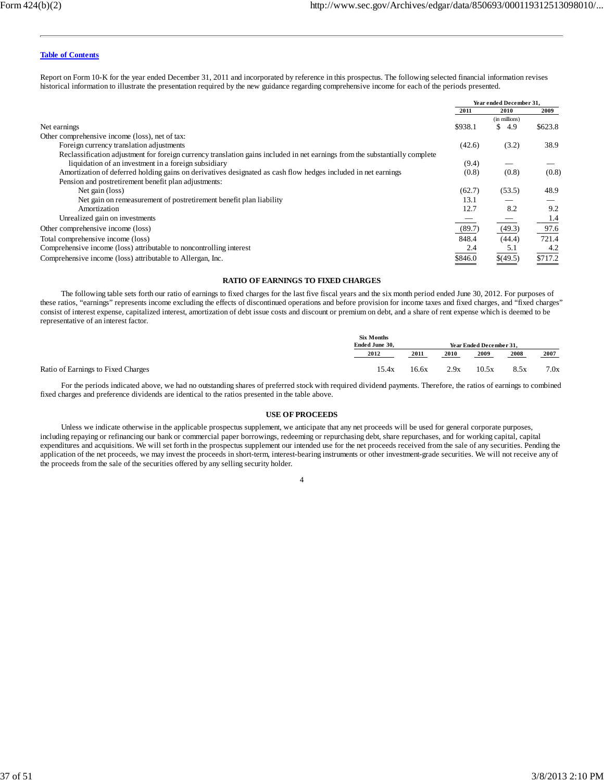Report on Form 10-K for the year ended December 31, 2011 and incorporated by reference in this prospectus. The following selected financial information revises historical information to illustrate the presentation required by the new guidance regarding comprehensive income for each of the periods presented.

|                                                                                                                             | Year ended December 31, |               |         |
|-----------------------------------------------------------------------------------------------------------------------------|-------------------------|---------------|---------|
|                                                                                                                             | 2011                    | 2010          | 2009    |
|                                                                                                                             |                         | (in millions) |         |
| Net earnings                                                                                                                | \$938.1                 | 4.9           | \$623.8 |
| Other comprehensive income (loss), net of tax:                                                                              |                         |               |         |
| Foreign currency translation adjustments                                                                                    | (42.6)                  | (3.2)         | 38.9    |
| Reclassification adjustment for foreign currency translation gains included in net earnings from the substantially complete |                         |               |         |
| liquidation of an investment in a foreign subsidiary                                                                        | (9.4)                   |               |         |
| Amortization of deferred holding gains on derivatives designated as cash flow hedges included in net earnings               | (0.8)                   | (0.8)         | (0.8)   |
| Pension and postretirement benefit plan adjustments:                                                                        |                         |               |         |
| Net gain (loss)                                                                                                             | (62.7)                  | (53.5)        | 48.9    |
| Net gain on remeasurement of postretirement benefit plan liability                                                          | 13.1                    |               |         |
| Amortization                                                                                                                | 12.7                    | 8.2           | 9.2     |
| Unrealized gain on investments                                                                                              |                         |               | 1.4     |
| Other comprehensive income (loss)                                                                                           | (89.7)                  | (49.3)        | 97.6    |
| Total comprehensive income (loss)                                                                                           | 848.4                   | (44.4)        | 721.4   |
| Comprehensive income (loss) attributable to noncontrolling interest                                                         | 2.4                     | 5.1           | 4.2     |
| Comprehensive income (loss) attributable to Allergan, Inc.                                                                  | \$846.0                 | \$(49.5)      | \$717.2 |

#### **RATIO OF EARNINGS TO FIXED CHARGES**

The following table sets forth our ratio of earnings to fixed charges for the last five fiscal years and the six month period ended June 30, 2012. For purposes of these ratios, "earnings" represents income excluding the effects of discontinued operations and before provision for income taxes and fixed charges, and "fixed charges" consist of interest expense, capitalized interest, amortization of debt issue costs and discount or premium on debt, and a share of rent expense which is deemed to be representative of an interest factor.

| <b>Six Months</b> |       |      |       |                         |      |
|-------------------|-------|------|-------|-------------------------|------|
| Ended June 30.    |       |      |       | Year Ended December 31. |      |
| 2012              | 2011  | 2010 | 2009  | 2008                    | 2007 |
| 15.4x             | 16.6x | 2.9x | 10.5x | 8.5x                    | 7.0x |

For the periods indicated above, we had no outstanding shares of preferred stock with required dividend payments. Therefore, the ratios of earnings to combined fixed charges and preference dividends are identical to the ratios presented in the table above.

#### **USE OF PROCEEDS**

Unless we indicate otherwise in the applicable prospectus supplement, we anticipate that any net proceeds will be used for general corporate purposes, including repaying or refinancing our bank or commercial paper borrowings, redeeming or repurchasing debt, share repurchases, and for working capital, capital expenditures and acquisitions. We will set forth in the prospectus supplement our intended use for the net proceeds received from the sale of any securities. Pending the application of the net proceeds, we may invest the proceeds in short-term, interest-bearing instruments or other investment-grade securities. We will not receive any of the proceeds from the sale of the securities offered by any selling security holder.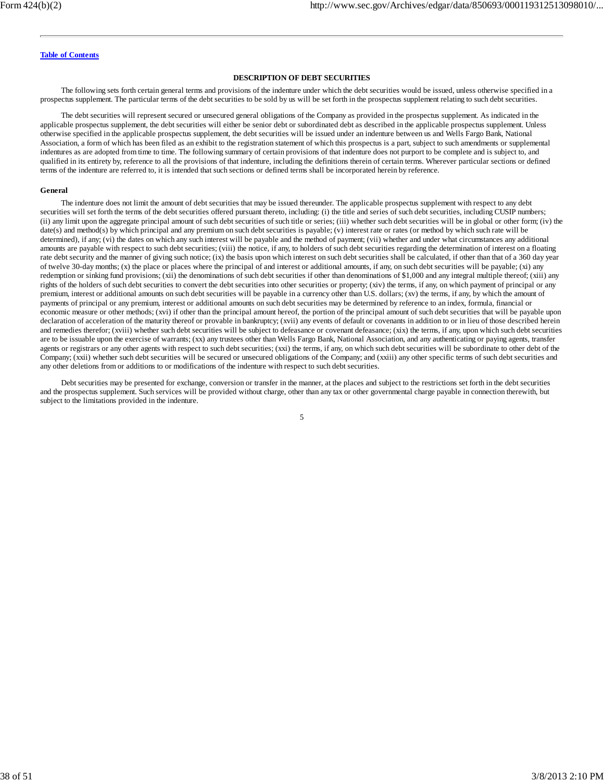#### **DESCRIPTION OF DEBT SECURITIES**

The following sets forth certain general terms and provisions of the indenture under which the debt securities would be issued, unless otherwise specified in a prospectus supplement. The particular terms of the debt securities to be sold by us will be set forth in the prospectus supplement relating to such debt securities.

The debt securities will represent secured or unsecured general obligations of the Company as provided in the prospectus supplement. As indicated in the applicable prospectus supplement, the debt securities will either be senior debt or subordinated debt as described in the applicable prospectus supplement. Unless otherwise specified in the applicable prospectus supplement, the debt securities will be issued under an indenture between us and Wells Fargo Bank, National Association, a form of which has been filed as an exhibit to the registration statement of which this prospectus is a part, subject to such amendments or supplemental indentures as are adopted from time to time. The following summary of certain provisions of that indenture does not purport to be complete and is subject to, and qualified in its entirety by, reference to all the provisions of that indenture, including the definitions therein of certain terms. Wherever particular sections or defined terms of the indenture are referred to, it is intended that such sections or defined terms shall be incorporated herein by reference.

#### **General**

The indenture does not limit the amount of debt securities that may be issued thereunder. The applicable prospectus supplement with respect to any debt securities will set forth the terms of the debt securities offered pursuant thereto, including: (i) the title and series of such debt securities, including CUSIP numbers; (ii) any limit upon the aggregate principal amount of such debt securities of such title or series; (iii) whether such debt securities will be in global or other form; (iv) the date(s) and method(s) by which principal and any premium on such debt securities is payable; (v) interest rate or rates (or method by which such rate will be determined), if any; (vi) the dates on which any such interest will be payable and the method of payment; (vii) whether and under what circumstances any additional amounts are payable with respect to such debt securities; (viii) the notice, if any, to holders of such debt securities regarding the determination of interest on a floating rate debt security and the manner of giving such notice; (ix) the basis upon which interest on such debt securities shall be calculated, if other than that of a 360 day year of twelve 30-day months; (x) the place or places where the principal of and interest or additional amounts, if any, on such debt securities will be payable; (xi) any redemption or sinking fund provisions; (xii) the denominations of such debt securities if other than denominations of \$1,000 and any integral multiple thereof; (xiii) any rights of the holders of such debt securities to convert the debt securities into other securities or property; (xiv) the terms, if any, on which payment of principal or any premium, interest or additional amounts on such debt securities will be payable in a currency other than U.S. dollars; (xv) the terms, if any, by which the amount of payments of principal or any premium, interest or additional amounts on such debt securities may be determined by reference to an index, formula, financial or economic measure or other methods; (xvi) if other than the principal amount hereof, the portion of the principal amount of such debt securities that will be payable upon declaration of acceleration of the maturity thereof or provable in bankruptcy; (xvii) any events of default or covenants in addition to or in lieu of those described herein and remedies therefor; (xviii) whether such debt securities will be subject to defeasance or covenant defeasance; (xix) the terms, if any, upon which such debt securities are to be issuable upon the exercise of warrants; (xx) any trustees other than Wells Fargo Bank, National Association, and any authenticating or paying agents, transfer agents or registrars or any other agents with respect to such debt securities; (xxi) the terms, if any, on which such debt securities will be subordinate to other debt of the Company; (xxii) whether such debt securities will be secured or unsecured obligations of the Company; and (xxiii) any other specific terms of such debt securities and any other deletions from or additions to or modifications of the indenture with respect to such debt securities.

Debt securities may be presented for exchange, conversion or transfer in the manner, at the places and subject to the restrictions set forth in the debt securities and the prospectus supplement. Such services will be provided without charge, other than any tax or other governmental charge payable in connection therewith, but subject to the limitations provided in the indenture.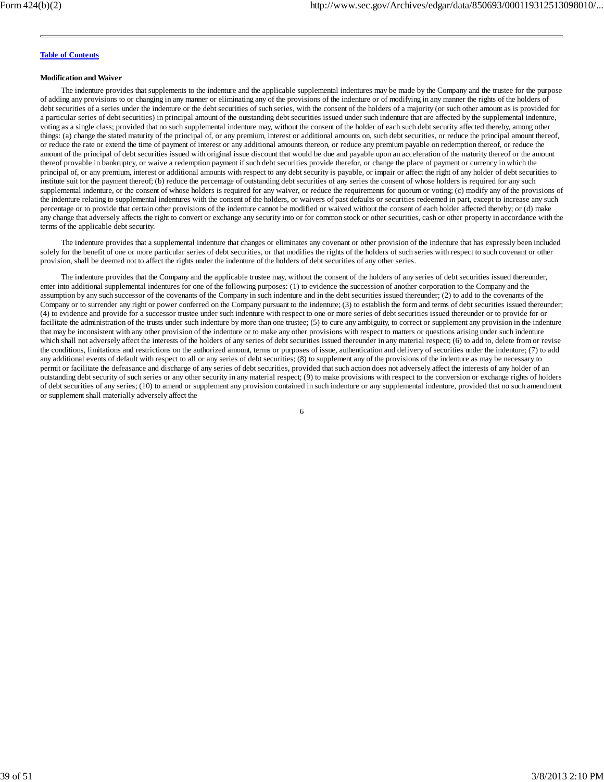#### **Modification and Waiver**

The indenture provides that supplements to the indenture and the applicable supplemental indentures may be made by the Company and the trustee for the purpose of adding any provisions to or changing in any manner or eliminating any of the provisions of the indenture or of modifying in any manner the rights of the holders of debt securities of a series under the indenture or the debt securities of such series, with the consent of the holders of a majority (or such other amount as is provided for a particular series of debt securities) in principal amount of the outstanding debt securities issued under such indenture that are affected by the supplemental indenture, voting as a single class; provided that no such supplemental indenture may, without the consent of the holder of each such debt security affected thereby, among other things: (a) change the stated maturity of the principal of, or any premium, interest or additional amounts on, such debt securities, or reduce the principal amount thereof, or reduce the rate or extend the time of payment of interest or any additional amounts thereon, or reduce any premium payable on redemption thereof, or reduce the amount of the principal of debt securities issued with original issue discount that would be due and payable upon an acceleration of the maturity thereof or the amount thereof provable in bankruptcy, or waive a redemption payment if such debt securities provide therefor, or change the place of payment or currency in which the principal of, or any premium, interest or additional amounts with respect to any debt security is payable, or impair or affect the right of any holder of debt securities to institute suit for the payment thereof; (b) reduce the percentage of outstanding debt securities of any series the consent of whose holders is required for any such supplemental indenture, or the consent of whose holders is required for any waiver, or reduce the requirements for quorum or voting; (c) modify any of the provisions of the indenture relating to supplemental indentures with the consent of the holders, or waivers of past defaults or securities redeemed in part, except to increase any such percentage or to provide that certain other provisions of the indenture cannot be modified or waived without the consent of each holder affected thereby; or (d) make any change that adversely affects the right to convert or exchange any security into or for common stock or other securities, cash or other property in accordance with the terms of the applicable debt security.

The indenture provides that a supplemental indenture that changes or eliminates any covenant or other provision of the indenture that has expressly been included solely for the benefit of one or more particular series of debt securities, or that modifies the rights of the holders of such series with respect to such covenant or other provision, shall be deemed not to affect the rights under the indenture of the holders of debt securities of any other series.

The indenture provides that the Company and the applicable trustee may, without the consent of the holders of any series of debt securities issued thereunder, enter into additional supplemental indentures for one of the following purposes: (1) to evidence the succession of another corporation to the Company and the assumption by any such successor of the covenants of the Company in such indenture and in the debt securities issued thereunder; (2) to add to the covenants of the Company or to surrender any right or power conferred on the Company pursuant to the indenture; (3) to establish the form and terms of debt securities issued thereunder; (4) to evidence and provide for a successor trustee under such indenture with respect to one or more series of debt securities issued thereunder or to provide for or facilitate the administration of the trusts under such indenture by more than one trustee; (5) to cure any ambiguity, to correct or supplement any provision in the indenture that may be inconsistent with any other provision of the indenture or to make any other provisions with respect to matters or questions arising under such indenture which shall not adversely affect the interests of the holders of any series of debt securities issued thereunder in any material respect; (6) to add to, delete from or revise the conditions, limitations and restrictions on the authorized amount, terms or purposes of issue, authentication and delivery of securities under the indenture; (7) to add any additional events of default with respect to all or any series of debt securities; (8) to supplement any of the provisions of the indenture as may be necessary to permit or facilitate the defeasance and discharge of any series of debt securities, provided that such action does not adversely affect the interests of any holder of an outstanding debt security of such series or any other security in any material respect; (9) to make provisions with respect to the conversion or exchange rights of holders of debt securities of any series; (10) to amend or supplement any provision contained in such indenture or any supplemental indenture, provided that no such amendment or supplement shall materially adversely affect the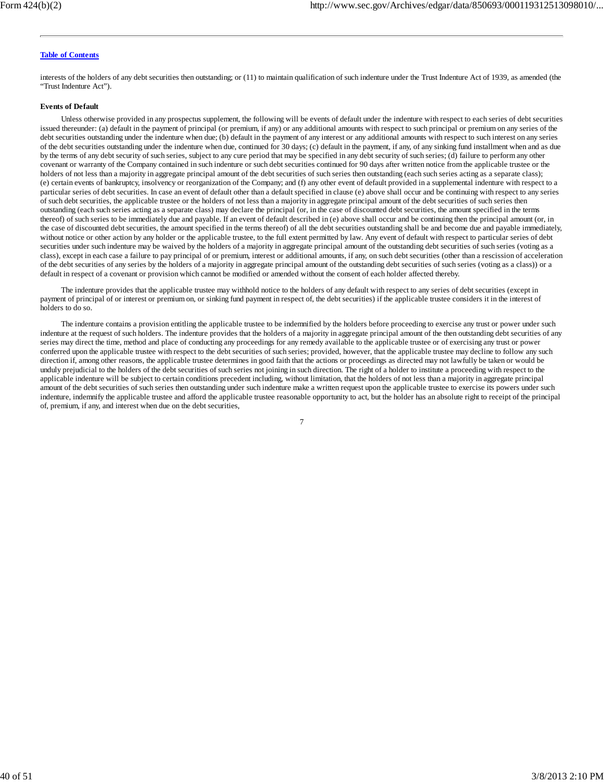interests of the holders of any debt securities then outstanding; or (11) to maintain qualification of such indenture under the Trust Indenture Act of 1939, as amended (the "Trust Indenture Act").

### **Events of Default**

Unless otherwise provided in any prospectus supplement, the following will be events of default under the indenture with respect to each series of debt securities issued thereunder: (a) default in the payment of principal (or premium, if any) or any additional amounts with respect to such principal or premium on any series of the debt securities outstanding under the indenture when due; (b) default in the payment of any interest or any additional amounts with respect to such interest on any series of the debt securities outstanding under the indenture when due, continued for 30 days; (c) default in the payment, if any, of any sinking fund installment when and as due by the terms of any debt security of such series, subject to any cure period that may be specified in any debt security of such series; (d) failure to perform any other covenant or warranty of the Company contained in such indenture or such debt securities continued for 90 days after written notice from the applicable trustee or the holders of not less than a majority in aggregate principal amount of the debt securities of such series then outstanding (each such series acting as a separate class); (e) certain events of bankruptcy, insolvency or reorganization of the Company; and (f) any other event of default provided in a supplemental indenture with respect to a particular series of debt securities. In case an event of default other than a default specified in clause (e) above shall occur and be continuing with respect to any series of such debt securities, the applicable trustee or the holders of not less than a majority in aggregate principal amount of the debt securities of such series then outstanding (each such series acting as a separate class) may declare the principal (or, in the case of discounted debt securities, the amount specified in the terms thereof) of such series to be immediately due and payable. If an event of default described in (e) above shall occur and be continuing then the principal amount (or, in the case of discounted debt securities, the amount specified in the terms thereof) of all the debt securities outstanding shall be and become due and payable immediately, without notice or other action by any holder or the applicable trustee, to the full extent permitted by law. Any event of default with respect to particular series of debt securities under such indenture may be waived by the holders of a majority in aggregate principal amount of the outstanding debt securities of such series (voting as a class), except in each case a failure to pay principal of or premium, interest or additional amounts, if any, on such debt securities (other than a rescission of acceleration of the debt securities of any series by the holders of a majority in aggregate principal amount of the outstanding debt securities of such series (voting as a class)) or a default in respect of a covenant or provision which cannot be modified or amended without the consent of each holder affected thereby.

The indenture provides that the applicable trustee may withhold notice to the holders of any default with respect to any series of debt securities (except in payment of principal of or interest or premium on, or sinking fund payment in respect of, the debt securities) if the applicable trustee considers it in the interest of holders to do so.

The indenture contains a provision entitling the applicable trustee to be indemnified by the holders before proceeding to exercise any trust or power under such indenture at the request of such holders. The indenture provides that the holders of a majority in aggregate principal amount of the then outstanding debt securities of any series may direct the time, method and place of conducting any proceedings for any remedy available to the applicable trustee or of exercising any trust or power conferred upon the applicable trustee with respect to the debt securities of such series; provided, however, that the applicable trustee may decline to follow any such direction if, among other reasons, the applicable trustee determines in good faith that the actions or proceedings as directed may not lawfully be taken or would be unduly prejudicial to the holders of the debt securities of such series not joining in such direction. The right of a holder to institute a proceeding with respect to the applicable indenture will be subject to certain conditions precedent including, without limitation, that the holders of not less than a majority in aggregate principal amount of the debt securities of such series then outstanding under such indenture make a written request upon the applicable trustee to exercise its powers under such indenture, indemnify the applicable trustee and afford the applicable trustee reasonable opportunity to act, but the holder has an absolute right to receipt of the principal of, premium, if any, and interest when due on the debt securities,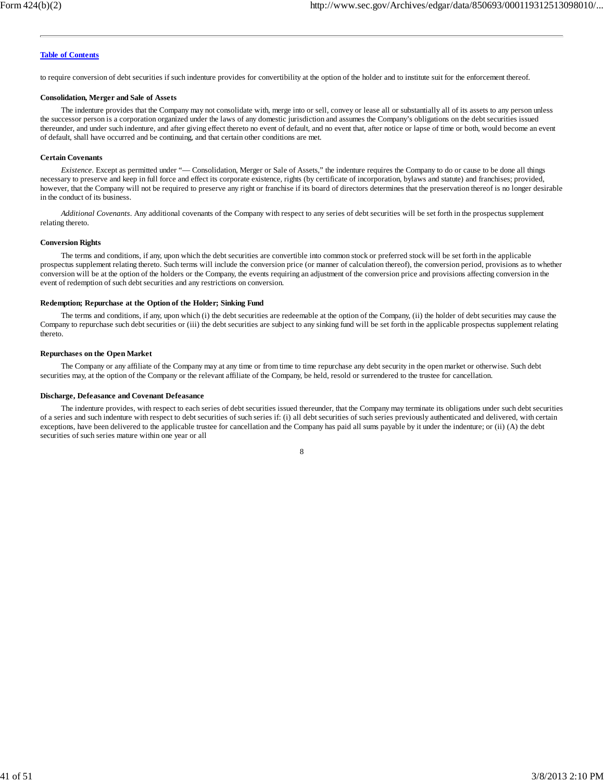to require conversion of debt securities if such indenture provides for convertibility at the option of the holder and to institute suit for the enforcement thereof.

#### **Consolidation, Merger and Sale of Assets**

The indenture provides that the Company may not consolidate with, merge into or sell, convey or lease all or substantially all of its assets to any person unless the successor person is a corporation organized under the laws of any domestic jurisdiction and assumes the Company's obligations on the debt securities issued thereunder, and under such indenture, and after giving effect thereto no event of default, and no event that, after notice or lapse of time or both, would become an event of default, shall have occurred and be continuing, and that certain other conditions are met.

#### **Certain Covenants**

*Existence*. Except as permitted under "— Consolidation, Merger or Sale of Assets," the indenture requires the Company to do or cause to be done all things necessary to preserve and keep in full force and effect its corporate existence, rights (by certificate of incorporation, bylaws and statute) and franchises; provided, however, that the Company will not be required to preserve any right or franchise if its board of directors determines that the preservation thereof is no longer desirable in the conduct of its business.

*Additional Covenants*. Any additional covenants of the Company with respect to any series of debt securities will be set forth in the prospectus supplement relating thereto.

#### **Conversion Rights**

The terms and conditions, if any, upon which the debt securities are convertible into common stock or preferred stock will be set forth in the applicable prospectus supplement relating thereto. Such terms will include the conversion price (or manner of calculation thereof), the conversion period, provisions as to whether conversion will be at the option of the holders or the Company, the events requiring an adjustment of the conversion price and provisions affecting conversion in the event of redemption of such debt securities and any restrictions on conversion.

#### **Redemption; Repurchase at the Option of the Holder; Sinking Fund**

The terms and conditions, if any, upon which (i) the debt securities are redeemable at the option of the Company, (ii) the holder of debt securities may cause the Company to repurchase such debt securities or (iii) the debt securities are subject to any sinking fund will be set forth in the applicable prospectus supplement relating thereto.

#### **Repurchases on the Open Market**

The Company or any affiliate of the Company may at any time or from time to time repurchase any debt security in the open market or otherwise. Such debt securities may, at the option of the Company or the relevant affiliate of the Company, be held, resold or surrendered to the trustee for cancellation.

#### **Discharge, Defeasance and Covenant Defeasance**

The indenture provides, with respect to each series of debt securities issued thereunder, that the Company may terminate its obligations under such debt securities of a series and such indenture with respect to debt securities of such series if: (i) all debt securities of such series previously authenticated and delivered, with certain exceptions, have been delivered to the applicable trustee for cancellation and the Company has paid all sums payable by it under the indenture; or (ii) (A) the debt securities of such series mature within one year or all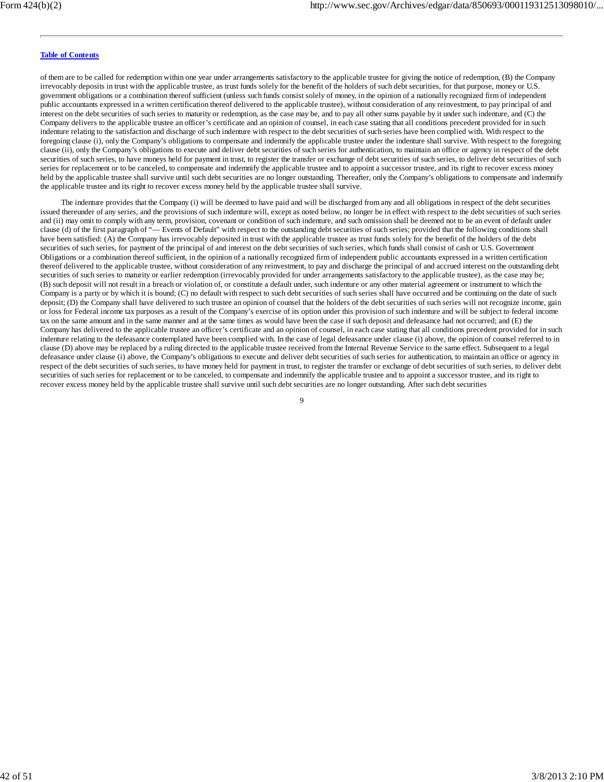of them are to be called for redemption within one year under arrangements satisfactory to the applicable trustee for giving the notice of redemption, (B) the Company irrevocably deposits in trust with the applicable trustee, as trust funds solely for the benefit of the holders of such debt securities, for that purpose, money or U.S. government obligations or a combination thereof sufficient (unless such funds consist solely of money, in the opinion of a nationally recognized firm of independent public accountants expressed in a written certification thereof delivered to the applicable trustee), without consideration of any reinvestment, to pay principal of and interest on the debt securities of such series to maturity or redemption, as the case may be, and to pay all other sums payable by it under such indenture, and (C) the Company delivers to the applicable trustee an officer's certificate and an opinion of counsel, in each case stating that all conditions precedent provided for in such indenture relating to the satisfaction and discharge of such indenture with respect to the debt securities of such series have been complied with. With respect to the foregoing clause (i), only the Company's obligations to compensate and indemnify the applicable trustee under the indenture shall survive. With respect to the foregoing clause (ii), only the Company's obligations to execute and deliver debt securities of such series for authentication, to maintain an office or agency in respect of the debt securities of such series, to have moneys held for payment in trust, to register the transfer or exchange of debt securities of such series, to deliver debt securities of such series for replacement or to be canceled, to compensate and indemnify the applicable trustee and to appoint a successor trustee, and its right to recover excess money held by the applicable trustee shall survive until such debt securities are no longer outstanding. Thereafter, only the Company's obligations to compensate and indemnify the applicable trustee and its right to recover excess money held by the applicable trustee shall survive.

The indenture provides that the Company (i) will be deemed to have paid and will be discharged from any and all obligations in respect of the debt securities issued thereunder of any series, and the provisions of such indenture will, except as noted below, no longer be in effect with respect to the debt securities of such series and (ii) may omit to comply with any term, provision, covenant or condition of such indenture, and such omission shall be deemed not to be an event of default under clause (d) of the first paragraph of "— Events of Default" with respect to the outstanding debt securities of such series; provided that the following conditions shall have been satisfied: (A) the Company has irrevocably deposited in trust with the applicable trustee as trust funds solely for the benefit of the holders of the debt securities of such series, for payment of the principal of and interest on the debt securities of such series, which funds shall consist of cash or U.S. Government Obligations or a combination thereof sufficient, in the opinion of a nationally recognized firm of independent public accountants expressed in a written certification thereof delivered to the applicable trustee, without consideration of any reinvestment, to pay and discharge the principal of and accrued interest on the outstanding debt securities of such series to maturity or earlier redemption (irrevocably provided for under arrangements satisfactory to the applicable trustee), as the case may be; (B) such deposit will not result in a breach or violation of, or constitute a default under, such indenture or any other material agreement or instrument to which the Company is a party or by which it is bound; (C) no default with respect to such debt securities of such series shall have occurred and be continuing on the date of such deposit; (D) the Company shall have delivered to such trustee an opinion of counsel that the holders of the debt securities of such series will not recognize income, gain or loss for Federal income tax purposes as a result of the Company's exercise of its option under this provision of such indenture and will be subject to federal income tax on the same amount and in the same manner and at the same times as would have been the case if such deposit and defeasance had not occurred; and (E) the Company has delivered to the applicable trustee an officer's certificate and an opinion of counsel, in each case stating that all conditions precedent provided for in such indenture relating to the defeasance contemplated have been complied with. In the case of legal defeasance under clause (i) above, the opinion of counsel referred to in clause (D) above may be replaced by a ruling directed to the applicable trustee received from the Internal Revenue Service to the same effect. Subsequent to a legal defeasance under clause (i) above, the Company's obligations to execute and deliver debt securities of such series for authentication, to maintain an office or agency in respect of the debt securities of such series, to have money held for payment in trust, to register the transfer or exchange of debt securities of such series, to deliver debt securities of such series for replacement or to be canceled, to compensate and indemnify the applicable trustee and to appoint a successor trustee, and its right to recover excess money held by the applicable trustee shall survive until such debt securities are no longer outstanding. After such debt securities

 $\alpha$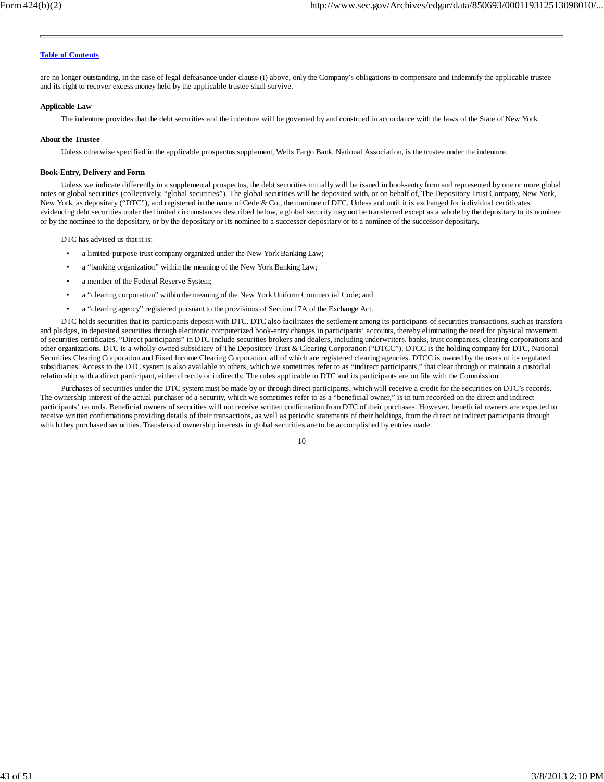are no longer outstanding, in the case of legal defeasance under clause (i) above, only the Company's obligations to compensate and indemnify the applicable trustee and its right to recover excess money held by the applicable trustee shall survive.

#### **Applicable Law**

The indenture provides that the debt securities and the indenture will be governed by and construed in accordance with the laws of the State of New York.

#### **About the Trustee**

Unless otherwise specified in the applicable prospectus supplement, Wells Fargo Bank, National Association, is the trustee under the indenture.

#### **Book-Entry, Delivery and Form**

Unless we indicate differently in a supplemental prospectus, the debt securities initially will be issued in book-entry form and represented by one or more global notes or global securities (collectively, "global securities"). The global securities will be deposited with, or on behalf of, The Depository Trust Company, New York, New York, as depositary ("DTC"), and registered in the name of Cede & Co., the nominee of DTC. Unless and until it is exchanged for individual certificates evidencing debt securities under the limited circumstances described below, a global security may not be transferred except as a whole by the depositary to its nominee or by the nominee to the depositary, or by the depositary or its nominee to a successor depositary or to a nominee of the successor depositary.

DTC has advised us that it is:

- a limited-purpose trust company organized under the New York Banking Law;
- a "banking organization" within the meaning of the New York Banking Law;
- a member of the Federal Reserve System;
- a "clearing corporation" within the meaning of the New York Uniform Commercial Code; and
- a "clearing agency" registered pursuant to the provisions of Section 17A of the Exchange Act.

DTC holds securities that its participants deposit with DTC. DTC also facilitates the settlement among its participants of securities transactions, such as transfers and pledges, in deposited securities through electronic computerized book-entry changes in participants' accounts, thereby eliminating the need for physical movement of securities certificates. "Direct participants" in DTC include securities brokers and dealers, including underwriters, banks, trust companies, clearing corporations and other organizations. DTC is a wholly-owned subsidiary of The Depository Trust & Clearing Corporation ("DTCC"). DTCC is the holding company for DTC, National Securities Clearing Corporation and Fixed Income Clearing Corporation, all of which are registered clearing agencies. DTCC is owned by the users of its regulated subsidiaries. Access to the DTC system is also available to others, which we sometimes refer to as "indirect participants," that clear through or maintain a custodial relationship with a direct participant, either directly or indirectly. The rules applicable to DTC and its participants are on file with the Commission.

Purchases of securities under the DTC system must be made by or through direct participants, which will receive a credit for the securities on DTC's records. The ownership interest of the actual purchaser of a security, which we sometimes refer to as a "beneficial owner," is in turn recorded on the direct and indirect participants' records. Beneficial owners of securities will not receive written confirmation from DTC of their purchases. However, beneficial owners are expected to receive written confirmations providing details of their transactions, as well as periodic statements of their holdings, from the direct or indirect participants through which they purchased securities. Transfers of ownership interests in global securities are to be accomplished by entries made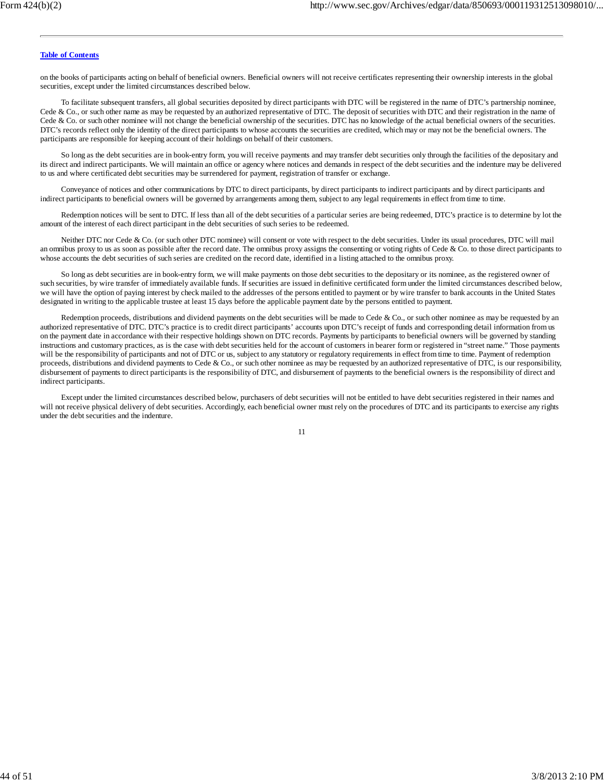on the books of participants acting on behalf of beneficial owners. Beneficial owners will not receive certificates representing their ownership interests in the global securities, except under the limited circumstances described below.

To facilitate subsequent transfers, all global securities deposited by direct participants with DTC will be registered in the name of DTC's partnership nominee, Cede & Co., or such other name as may be requested by an authorized representative of DTC. The deposit of securities with DTC and their registration in the name of Cede & Co. or such other nominee will not change the beneficial ownership of the securities. DTC has no knowledge of the actual beneficial owners of the securities. DTC's records reflect only the identity of the direct participants to whose accounts the securities are credited, which may or may not be the beneficial owners. The participants are responsible for keeping account of their holdings on behalf of their customers.

So long as the debt securities are in book-entry form, you will receive payments and may transfer debt securities only through the facilities of the depositary and its direct and indirect participants. We will maintain an office or agency where notices and demands in respect of the debt securities and the indenture may be delivered to us and where certificated debt securities may be surrendered for payment, registration of transfer or exchange.

Conveyance of notices and other communications by DTC to direct participants, by direct participants to indirect participants and by direct participants and indirect participants to beneficial owners will be governed by arrangements among them, subject to any legal requirements in effect from time to time.

Redemption notices will be sent to DTC. If less than all of the debt securities of a particular series are being redeemed, DTC's practice is to determine by lot the amount of the interest of each direct participant in the debt securities of such series to be redeemed.

Neither DTC nor Cede & Co. (or such other DTC nominee) will consent or vote with respect to the debt securities. Under its usual procedures, DTC will mail an omnibus proxy to us as soon as possible after the record date. The omnibus proxy assigns the consenting or voting rights of Cede & Co. to those direct participants to whose accounts the debt securities of such series are credited on the record date, identified in a listing attached to the omnibus proxy.

So long as debt securities are in book-entry form, we will make payments on those debt securities to the depositary or its nominee, as the registered owner of such securities, by wire transfer of immediately available funds. If securities are issued in definitive certificated form under the limited circumstances described below, we will have the option of paying interest by check mailed to the addresses of the persons entitled to payment or by wire transfer to bank accounts in the United States designated in writing to the applicable trustee at least 15 days before the applicable payment date by the persons entitled to payment.

Redemption proceeds, distributions and dividend payments on the debt securities will be made to Cede & Co., or such other nominee as may be requested by an authorized representative of DTC. DTC's practice is to credit direct participants' accounts upon DTC's receipt of funds and corresponding detail information from us on the payment date in accordance with their respective holdings shown on DTC records. Payments by participants to beneficial owners will be governed by standing instructions and customary practices, as is the case with debt securities held for the account of customers in bearer form or registered in "street name." Those payments will be the responsibility of participants and not of DTC or us, subject to any statutory or regulatory requirements in effect from time to time. Payment of redemption proceeds, distributions and dividend payments to Cede & Co., or such other nominee as may be requested by an authorized representative of DTC, is our responsibility, disbursement of payments to direct participants is the responsibility of DTC, and disbursement of payments to the beneficial owners is the responsibility of direct and indirect participants.

Except under the limited circumstances described below, purchasers of debt securities will not be entitled to have debt securities registered in their names and will not receive physical delivery of debt securities. Accordingly, each beneficial owner must rely on the procedures of DTC and its participants to exercise any rights under the debt securities and the indenture.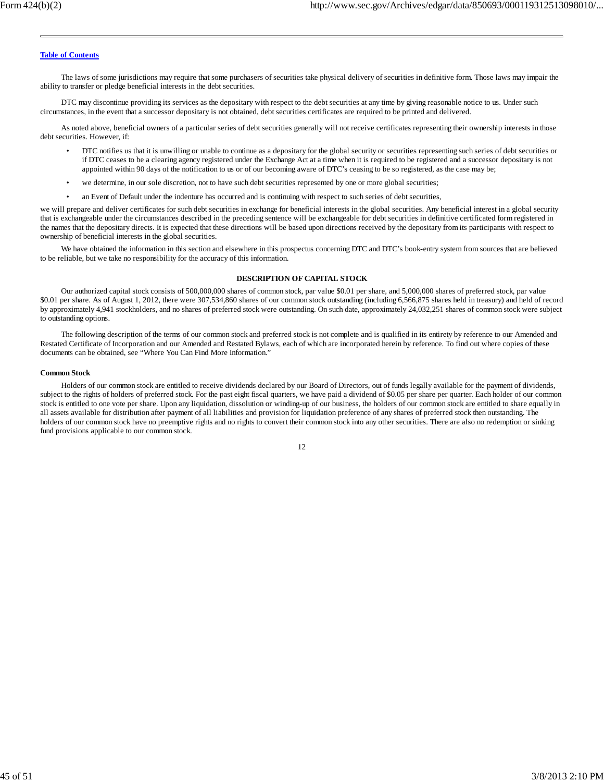The laws of some jurisdictions may require that some purchasers of securities take physical delivery of securities in definitive form. Those laws may impair the ability to transfer or pledge beneficial interests in the debt securities.

DTC may discontinue providing its services as the depositary with respect to the debt securities at any time by giving reasonable notice to us. Under such circumstances, in the event that a successor depositary is not obtained, debt securities certificates are required to be printed and delivered.

As noted above, beneficial owners of a particular series of debt securities generally will not receive certificates representing their ownership interests in those debt securities. However, if:

- DTC notifies us that it is unwilling or unable to continue as a depositary for the global security or securities representing such series of debt securities or if DTC ceases to be a clearing agency registered under the Exchange Act at a time when it is required to be registered and a successor depositary is not appointed within 90 days of the notification to us or of our becoming aware of DTC's ceasing to be so registered, as the case may be;
- we determine, in our sole discretion, not to have such debt securities represented by one or more global securities;
- an Event of Default under the indenture has occurred and is continuing with respect to such series of debt securities,

we will prepare and deliver certificates for such debt securities in exchange for beneficial interests in the global securities. Any beneficial interest in a global security that is exchangeable under the circumstances described in the preceding sentence will be exchangeable for debt securities in definitive certificated form registered in the names that the depositary directs. It is expected that these directions will be based upon directions received by the depositary from its participants with respect to ownership of beneficial interests in the global securities.

We have obtained the information in this section and elsewhere in this prospectus concerning DTC and DTC's book-entry system from sources that are believed to be reliable, but we take no responsibility for the accuracy of this information.

#### **DESCRIPTION OF CAPITAL STOCK**

Our authorized capital stock consists of 500,000,000 shares of common stock, par value \$0.01 per share, and 5,000,000 shares of preferred stock, par value \$0.01 per share. As of August 1, 2012, there were 307,534,860 shares of our common stock outstanding (including 6,566,875 shares held in treasury) and held of record by approximately 4,941 stockholders, and no shares of preferred stock were outstanding. On such date, approximately 24,032,251 shares of common stock were subject to outstanding options.

The following description of the terms of our common stock and preferred stock is not complete and is qualified in its entirety by reference to our Amended and Restated Certificate of Incorporation and our Amended and Restated Bylaws, each of which are incorporated herein by reference. To find out where copies of these documents can be obtained, see "Where You Can Find More Information."

#### **Common Stock**

Holders of our common stock are entitled to receive dividends declared by our Board of Directors, out of funds legally available for the payment of dividends, subject to the rights of holders of preferred stock. For the past eight fiscal quarters, we have paid a dividend of \$0.05 per share per quarter. Each holder of our common stock is entitled to one vote per share. Upon any liquidation, dissolution or winding-up of our business, the holders of our common stock are entitled to share equally in all assets available for distribution after payment of all liabilities and provision for liquidation preference of any shares of preferred stock then outstanding. The holders of our common stock have no preemptive rights and no rights to convert their common stock into any other securities. There are also no redemption or sinking fund provisions applicable to our common stock.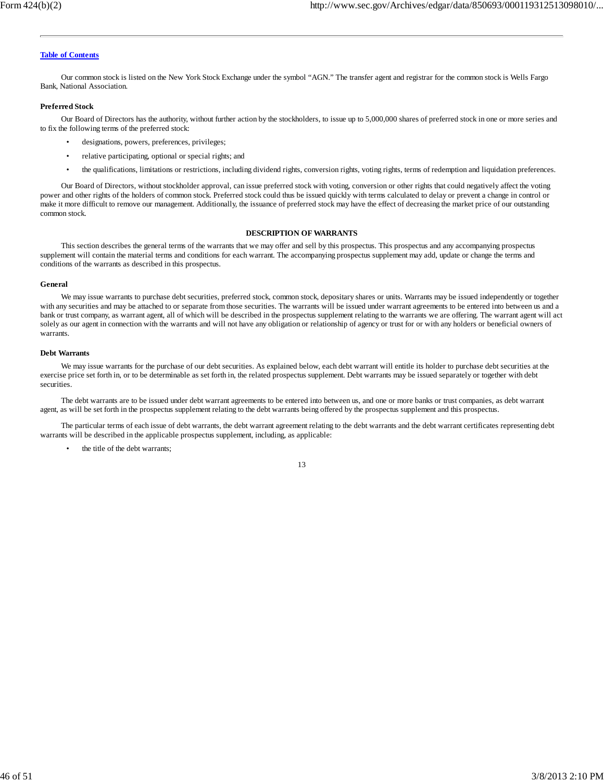Our common stock is listed on the New York Stock Exchange under the symbol "AGN." The transfer agent and registrar for the common stock is Wells Fargo Bank, National Association.

### **Preferred Stock**

Our Board of Directors has the authority, without further action by the stockholders, to issue up to 5,000,000 shares of preferred stock in one or more series and to fix the following terms of the preferred stock:

- designations, powers, preferences, privileges;
- relative participating, optional or special rights; and
- the qualifications, limitations or restrictions, including dividend rights, conversion rights, voting rights, terms of redemption and liquidation preferences.

Our Board of Directors, without stockholder approval, can issue preferred stock with voting, conversion or other rights that could negatively affect the voting power and other rights of the holders of common stock. Preferred stock could thus be issued quickly with terms calculated to delay or prevent a change in control or make it more difficult to remove our management. Additionally, the issuance of preferred stock may have the effect of decreasing the market price of our outstanding common stock.

#### **DESCRIPTION OF WARRANTS**

This section describes the general terms of the warrants that we may offer and sell by this prospectus. This prospectus and any accompanying prospectus supplement will contain the material terms and conditions for each warrant. The accompanying prospectus supplement may add, update or change the terms and conditions of the warrants as described in this prospectus.

#### **General**

We may issue warrants to purchase debt securities, preferred stock, common stock, depositary shares or units. Warrants may be issued independently or together with any securities and may be attached to or separate from those securities. The warrants will be issued under warrant agreements to be entered into between us and a bank or trust company, as warrant agent, all of which will be described in the prospectus supplement relating to the warrants we are offering. The warrant agent will act solely as our agent in connection with the warrants and will not have any obligation or relationship of agency or trust for or with any holders or beneficial owners of warrants.

#### **Debt Warrants**

We may issue warrants for the purchase of our debt securities. As explained below, each debt warrant will entitle its holder to purchase debt securities at the exercise price set forth in, or to be determinable as set forth in, the related prospectus supplement. Debt warrants may be issued separately or together with debt securities.

The debt warrants are to be issued under debt warrant agreements to be entered into between us, and one or more banks or trust companies, as debt warrant agent, as will be set forth in the prospectus supplement relating to the debt warrants being offered by the prospectus supplement and this prospectus.

The particular terms of each issue of debt warrants, the debt warrant agreement relating to the debt warrants and the debt warrant certificates representing debt warrants will be described in the applicable prospectus supplement, including, as applicable:

the title of the debt warrants: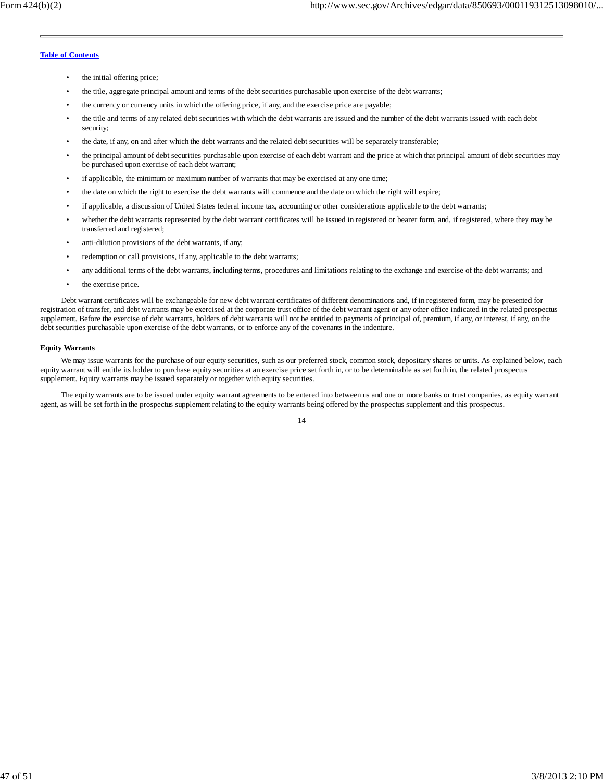- the initial offering price;
- the title, aggregate principal amount and terms of the debt securities purchasable upon exercise of the debt warrants;
- the currency or currency units in which the offering price, if any, and the exercise price are payable;
- the title and terms of any related debt securities with which the debt warrants are issued and the number of the debt warrants issued with each debt security;
- the date, if any, on and after which the debt warrants and the related debt securities will be separately transferable;
- the principal amount of debt securities purchasable upon exercise of each debt warrant and the price at which that principal amount of debt securities may be purchased upon exercise of each debt warrant;
- if applicable, the minimum or maximum number of warrants that may be exercised at any one time;
- the date on which the right to exercise the debt warrants will commence and the date on which the right will expire;
- if applicable, a discussion of United States federal income tax, accounting or other considerations applicable to the debt warrants;
- whether the debt warrants represented by the debt warrant certificates will be issued in registered or bearer form, and, if registered, where they may be transferred and registered;
- anti-dilution provisions of the debt warrants, if any;
- redemption or call provisions, if any, applicable to the debt warrants;
- any additional terms of the debt warrants, including terms, procedures and limitations relating to the exchange and exercise of the debt warrants; and
- the exercise price.

Debt warrant certificates will be exchangeable for new debt warrant certificates of different denominations and, if in registered form, may be presented for registration of transfer, and debt warrants may be exercised at the corporate trust office of the debt warrant agent or any other office indicated in the related prospectus supplement. Before the exercise of debt warrants, holders of debt warrants will not be entitled to payments of principal of, premium, if any, or interest, if any, on the debt securities purchasable upon exercise of the debt warrants, or to enforce any of the covenants in the indenture.

#### **Equity Warrants**

We may issue warrants for the purchase of our equity securities, such as our preferred stock, common stock, depositary shares or units. As explained below, each equity warrant will entitle its holder to purchase equity securities at an exercise price set forth in, or to be determinable as set forth in, the related prospectus supplement. Equity warrants may be issued separately or together with equity securities.

The equity warrants are to be issued under equity warrant agreements to be entered into between us and one or more banks or trust companies, as equity warrant agent, as will be set forth in the prospectus supplement relating to the equity warrants being offered by the prospectus supplement and this prospectus.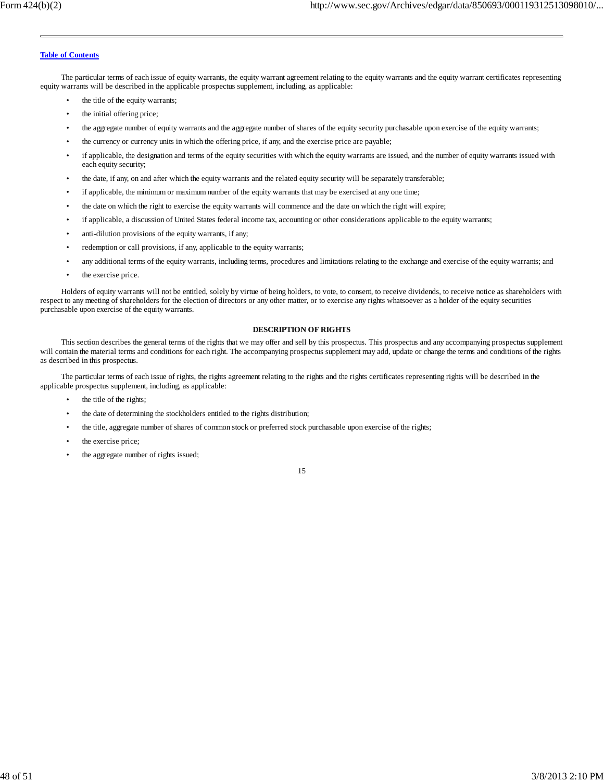The particular terms of each issue of equity warrants, the equity warrant agreement relating to the equity warrants and the equity warrant certificates representing equity warrants will be described in the applicable prospectus supplement, including, as applicable:

- the title of the equity warrants;
- the initial offering price;
- the aggregate number of equity warrants and the aggregate number of shares of the equity security purchasable upon exercise of the equity warrants;
- the currency or currency units in which the offering price, if any, and the exercise price are payable;
- if applicable, the designation and terms of the equity securities with which the equity warrants are issued, and the number of equity warrants issued with each equity security;
- the date, if any, on and after which the equity warrants and the related equity security will be separately transferable;
- if applicable, the minimum or maximum number of the equity warrants that may be exercised at any one time;
- the date on which the right to exercise the equity warrants will commence and the date on which the right will expire;
- if applicable, a discussion of United States federal income tax, accounting or other considerations applicable to the equity warrants;
- anti-dilution provisions of the equity warrants, if any;
- redemption or call provisions, if any, applicable to the equity warrants;
- any additional terms of the equity warrants, including terms, procedures and limitations relating to the exchange and exercise of the equity warrants; and
- the exercise price.

Holders of equity warrants will not be entitled, solely by virtue of being holders, to vote, to consent, to receive dividends, to receive notice as shareholders with respect to any meeting of shareholders for the election of directors or any other matter, or to exercise any rights whatsoever as a holder of the equity securities purchasable upon exercise of the equity warrants.

#### **DESCRIPTION OF RIGHTS**

This section describes the general terms of the rights that we may offer and sell by this prospectus. This prospectus and any accompanying prospectus supplement will contain the material terms and conditions for each right. The accompanying prospectus supplement may add, update or change the terms and conditions of the rights as described in this prospectus.

The particular terms of each issue of rights, the rights agreement relating to the rights and the rights certificates representing rights will be described in the applicable prospectus supplement, including, as applicable:

- the title of the rights;
- the date of determining the stockholders entitled to the rights distribution;
- the title, aggregate number of shares of common stock or preferred stock purchasable upon exercise of the rights;
- the exercise price;
- the aggregate number of rights issued;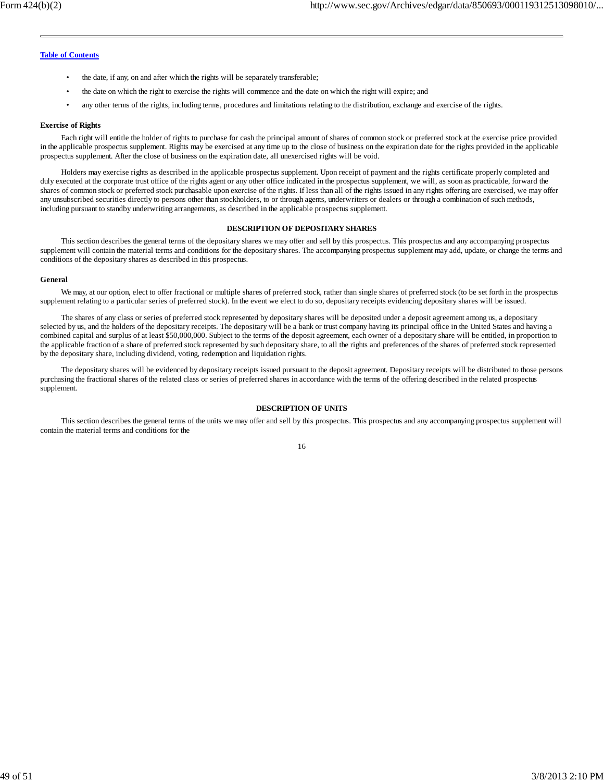- the date, if any, on and after which the rights will be separately transferable;
- the date on which the right to exercise the rights will commence and the date on which the right will expire; and
- any other terms of the rights, including terms, procedures and limitations relating to the distribution, exchange and exercise of the rights.

#### **Exercise of Rights**

Each right will entitle the holder of rights to purchase for cash the principal amount of shares of common stock or preferred stock at the exercise price provided in the applicable prospectus supplement. Rights may be exercised at any time up to the close of business on the expiration date for the rights provided in the applicable prospectus supplement. After the close of business on the expiration date, all unexercised rights will be void.

Holders may exercise rights as described in the applicable prospectus supplement. Upon receipt of payment and the rights certificate properly completed and duly executed at the corporate trust office of the rights agent or any other office indicated in the prospectus supplement, we will, as soon as practicable, forward the shares of common stock or preferred stock purchasable upon exercise of the rights. If less than all of the rights issued in any rights offering are exercised, we may offer any unsubscribed securities directly to persons other than stockholders, to or through agents, underwriters or dealers or through a combination of such methods, including pursuant to standby underwriting arrangements, as described in the applicable prospectus supplement.

#### **DESCRIPTION OF DEPOSITARY SHARES**

This section describes the general terms of the depositary shares we may offer and sell by this prospectus. This prospectus and any accompanying prospectus supplement will contain the material terms and conditions for the depositary shares. The accompanying prospectus supplement may add, update, or change the terms and conditions of the depositary shares as described in this prospectus.

#### **General**

We may, at our option, elect to offer fractional or multiple shares of preferred stock, rather than single shares of preferred stock (to be set forth in the prospectus supplement relating to a particular series of preferred stock). In the event we elect to do so, depositary receipts evidencing depositary shares will be issued.

The shares of any class or series of preferred stock represented by depositary shares will be deposited under a deposit agreement among us, a depositary selected by us, and the holders of the depositary receipts. The depositary will be a bank or trust company having its principal office in the United States and having a combined capital and surplus of at least \$50,000,000. Subject to the terms of the deposit agreement, each owner of a depositary share will be entitled, in proportion to the applicable fraction of a share of preferred stock represented by such depositary share, to all the rights and preferences of the shares of preferred stock represented by the depositary share, including dividend, voting, redemption and liquidation rights.

The depositary shares will be evidenced by depositary receipts issued pursuant to the deposit agreement. Depositary receipts will be distributed to those persons purchasing the fractional shares of the related class or series of preferred shares in accordance with the terms of the offering described in the related prospectus supplement.

### **DESCRIPTION OF UNITS**

This section describes the general terms of the units we may offer and sell by this prospectus. This prospectus and any accompanying prospectus supplement will contain the material terms and conditions for the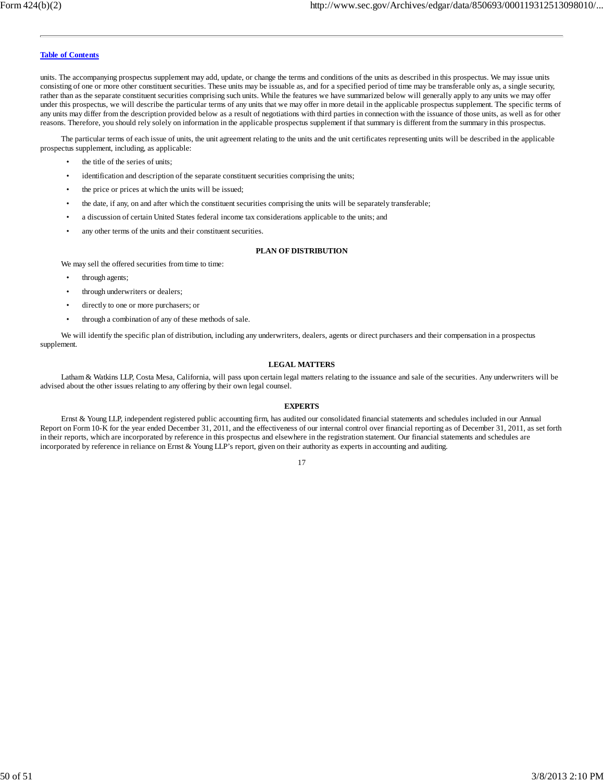units. The accompanying prospectus supplement may add, update, or change the terms and conditions of the units as described in this prospectus. We may issue units consisting of one or more other constituent securities. These units may be issuable as, and for a specified period of time may be transferable only as, a single security, rather than as the separate constituent securities comprising such units. While the features we have summarized below will generally apply to any units we may offer under this prospectus, we will describe the particular terms of any units that we may offer in more detail in the applicable prospectus supplement. The specific terms of any units may differ from the description provided below as a result of negotiations with third parties in connection with the issuance of those units, as well as for other reasons. Therefore, you should rely solely on information in the applicable prospectus supplement if that summary is different from the summary in this prospectus.

The particular terms of each issue of units, the unit agreement relating to the units and the unit certificates representing units will be described in the applicable prospectus supplement, including, as applicable:

- the title of the series of units;
- identification and description of the separate constituent securities comprising the units;
- the price or prices at which the units will be issued;
- the date, if any, on and after which the constituent securities comprising the units will be separately transferable;
- a discussion of certain United States federal income tax considerations applicable to the units; and
- any other terms of the units and their constituent securities.

### **PLAN OF DISTRIBUTION**

We may sell the offered securities from time to time:

- through agents;
- through underwriters or dealers;
- directly to one or more purchasers; or
- through a combination of any of these methods of sale.

We will identify the specific plan of distribution, including any underwriters, dealers, agents or direct purchasers and their compensation in a prospectus supplement.

#### **LEGAL MATTERS**

Latham & Watkins LLP, Costa Mesa, California, will pass upon certain legal matters relating to the issuance and sale of the securities. Any underwriters will be advised about the other issues relating to any offering by their own legal counsel.

#### **EXPERTS**

Ernst & Young LLP, independent registered public accounting firm, has audited our consolidated financial statements and schedules included in our Annual Report on Form 10-K for the year ended December 31, 2011, and the effectiveness of our internal control over financial reporting as of December 31, 2011, as set forth in their reports, which are incorporated by reference in this prospectus and elsewhere in the registration statement. Our financial statements and schedules are incorporated by reference in reliance on Ernst & Young LLP's report, given on their authority as experts in accounting and auditing.